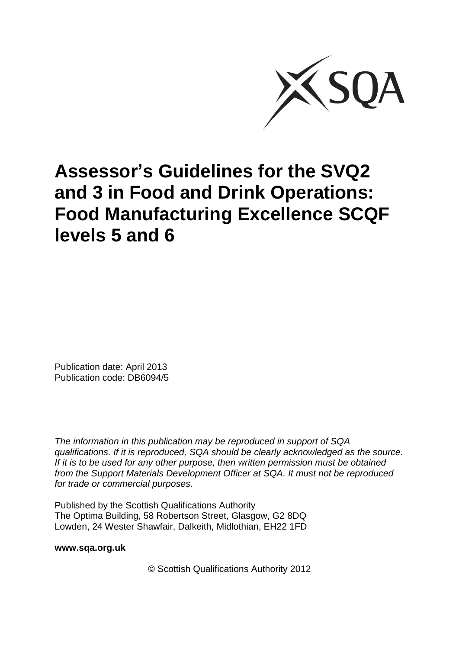

# **Assessor's Guidelines for the SVQ2 and 3 in Food and Drink Operations: Food Manufacturing Excellence SCQF levels 5 and 6**

Publication date: April 2013 Publication code: DB6094/5

*The information in this publication may be reproduced in support of SQA qualifications. If it is reproduced, SQA should be clearly acknowledged as the source. If it is to be used for any other purpose, then written permission must be obtained from the Support Materials Development Officer at SQA. It must not be reproduced for trade or commercial purposes.* 

Published by the Scottish Qualifications Authority The Optima Building, 58 Robertson Street, Glasgow, G2 8DQ Lowden, 24 Wester Shawfair, Dalkeith, Midlothian, EH22 1FD

**[www.sqa.org.uk](http://www.sqa.org.uk/)**

© Scottish Qualifications Authority 2012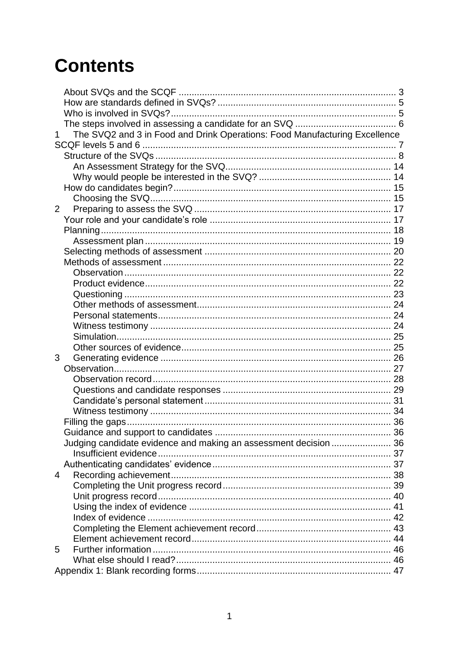# **Contents**

| 1              | The SVQ2 and 3 in Food and Drink Operations: Food Manufacturing Excellence |  |
|----------------|----------------------------------------------------------------------------|--|
|                |                                                                            |  |
|                |                                                                            |  |
|                |                                                                            |  |
|                |                                                                            |  |
|                |                                                                            |  |
|                |                                                                            |  |
| 2 <sup>1</sup> |                                                                            |  |
|                |                                                                            |  |
|                |                                                                            |  |
|                |                                                                            |  |
|                |                                                                            |  |
|                |                                                                            |  |
|                |                                                                            |  |
|                |                                                                            |  |
|                |                                                                            |  |
|                |                                                                            |  |
|                |                                                                            |  |
|                |                                                                            |  |
|                |                                                                            |  |
|                |                                                                            |  |
|                |                                                                            |  |
| 3              |                                                                            |  |
|                |                                                                            |  |
|                |                                                                            |  |
|                |                                                                            |  |
|                |                                                                            |  |
|                |                                                                            |  |
|                |                                                                            |  |
|                |                                                                            |  |
|                | Judging candidate evidence and making an assessment decision  36           |  |
|                |                                                                            |  |
|                |                                                                            |  |
| 4              |                                                                            |  |
|                |                                                                            |  |
|                |                                                                            |  |
|                |                                                                            |  |
|                |                                                                            |  |
|                |                                                                            |  |
|                |                                                                            |  |
| 5              |                                                                            |  |
|                |                                                                            |  |
|                |                                                                            |  |
|                |                                                                            |  |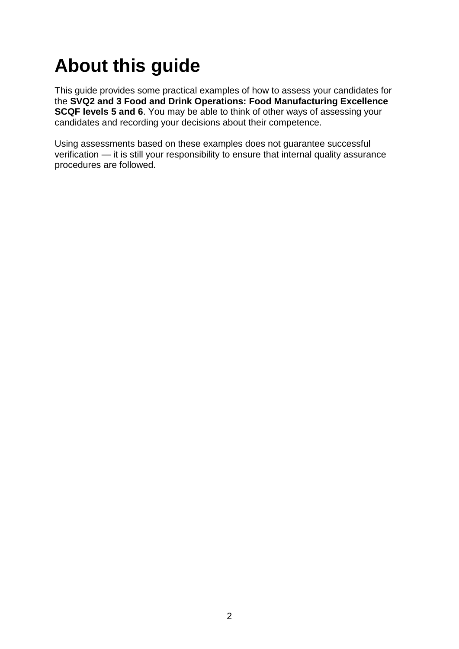# **About this guide**

This guide provides some practical examples of how to assess your candidates for the **SVQ2 and 3 Food and Drink Operations: Food Manufacturing Excellence SCQF levels 5 and 6**. You may be able to think of other ways of assessing your candidates and recording your decisions about their competence.

Using assessments based on these examples does not guarantee successful verification — it is still your responsibility to ensure that internal quality assurance procedures are followed.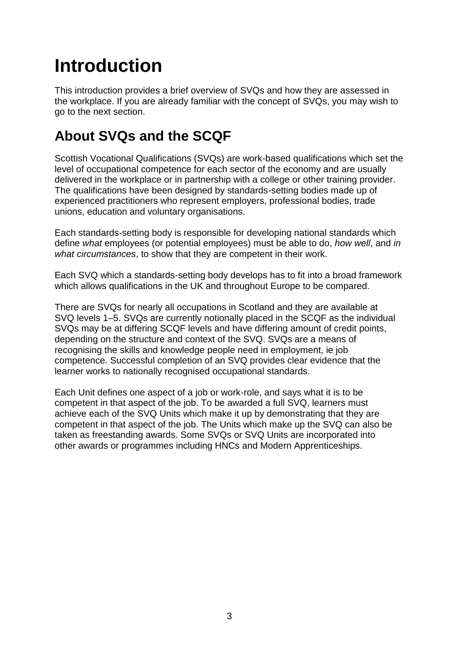# **Introduction**

This introduction provides a brief overview of SVQs and how they are assessed in the workplace. If you are already familiar with the concept of SVQs, you may wish to go to the next section.

# <span id="page-3-0"></span>**About SVQs and the SCQF**

Scottish Vocational Qualifications (SVQs) are work-based qualifications which set the level of occupational competence for each sector of the economy and are usually delivered in the workplace or in partnership with a college or other training provider. The qualifications have been designed by standards-setting bodies made up of experienced practitioners who represent employers, professional bodies, trade unions, education and voluntary organisations.

Each standards-setting body is responsible for developing national standards which define *what* employees (or potential employees) must be able to do, *how well*, and *in what circumstances*, to show that they are competent in their work.

Each SVQ which a standards-setting body develops has to fit into a broad framework which allows qualifications in the UK and throughout Europe to be compared.

There are SVQs for nearly all occupations in Scotland and they are available at SVQ levels 1–5. SVQs are currently notionally placed in the SCQF as the individual SVQs may be at differing SCQF levels and have differing amount of credit points, depending on the structure and context of the SVQ. SVQs are a means of recognising the skills and knowledge people need in employment, ie job competence. Successful completion of an SVQ provides clear evidence that the learner works to nationally recognised occupational standards.

Each Unit defines one aspect of a job or work-role, and says what it is to be competent in that aspect of the job. To be awarded a full SVQ, learners must achieve each of the SVQ Units which make it up by demonstrating that they are competent in that aspect of the job. The Units which make up the SVQ can also be taken as freestanding awards. Some SVQs or SVQ Units are incorporated into other awards or programmes including HNCs and Modern Apprenticeships.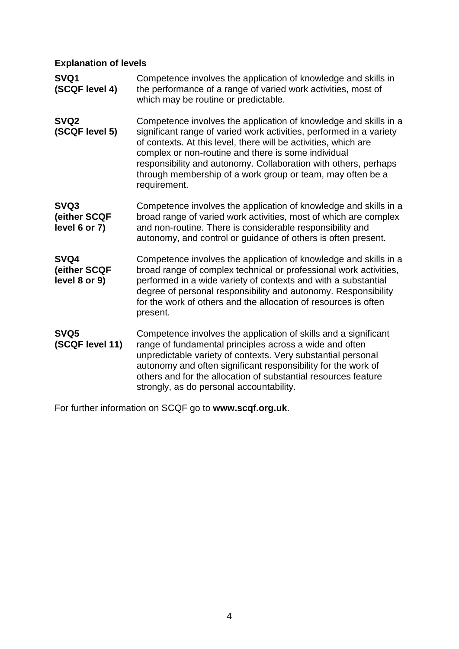#### **Explanation of levels**

**SVQ1** Competence involves the application of knowledge and skills in (SCQF level 4) the performance of a range of varied work activities, most of **(SCQF level 4)** the performance of a range of varied work activities, most of which may be routine or predictable.

**SVQ2** Competence involves the application of knowledge and skills in a **(SCQF level 5)** significant range of varied work activities, performed in a variety significant range of varied work activities, performed in a variety of contexts. At this level, there will be activities, which are complex or non-routine and there is some individual responsibility and autonomy. Collaboration with others, perhaps through membership of a work group or team, may often be a requirement.

**SVQ3** Competence involves the application of knowledge and skills in a **(either SCQF** broad range of varied work activities, most of which are complex **level 6 or 7)** and non-routine. There is considerable responsibility and autonomy, and control or guidance of others is often present.

- **SVQ4** Competence involves the application of knowledge and skills in a **(either SCQF** broad range of complex technical or professional work activities, **level 8 or 9)** performed in a wide variety of contexts and with a substantial degree of personal responsibility and autonomy. Responsibility for the work of others and the allocation of resources is often present.
- **SVQ5** Competence involves the application of skills and a significant **(SCQF level 11)** range of fundamental principles across a wide and often unpredictable variety of contexts. Very substantial personal autonomy and often significant responsibility for the work of others and for the allocation of substantial resources feature strongly, as do personal accountability.

For further information on SCQF go to **[www.scqf.org.uk](http://www.scqf.org.uk/)**.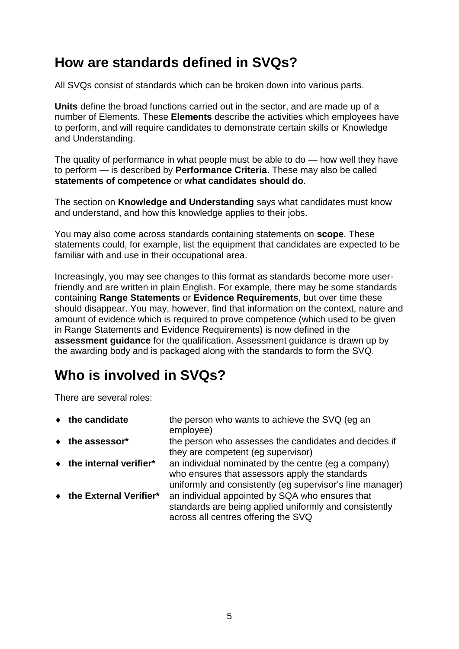## <span id="page-5-0"></span>**How are standards defined in SVQs?**

All SVQs consist of standards which can be broken down into various parts.

**Units** define the broad functions carried out in the sector, and are made up of a number of Elements. These **Elements** describe the activities which employees have to perform, and will require candidates to demonstrate certain skills or Knowledge and Understanding.

The quality of performance in what people must be able to do — how well they have to perform — is described by **Performance Criteria**. These may also be called **statements of competence** or **what candidates should do**.

The section on **Knowledge and Understanding** says what candidates must know and understand, and how this knowledge applies to their jobs.

You may also come across standards containing statements on **scope**. These statements could, for example, list the equipment that candidates are expected to be familiar with and use in their occupational area.

Increasingly, you may see changes to this format as standards become more userfriendly and are written in plain English. For example, there may be some standards containing **Range Statements** or **Evidence Requirements**, but over time these should disappear. You may, however, find that information on the context, nature and amount of evidence which is required to prove competence (which used to be given in Range Statements and Evidence Requirements) is now defined in the **assessment guidance** for the qualification. Assessment guidance is drawn up by the awarding body and is packaged along with the standards to form the SVQ.

# <span id="page-5-1"></span>**Who is involved in SVQs?**

There are several roles:

| $\bullet$ the candidate          | the person who wants to achieve the SVQ (eg an<br>employee)                                                                                                         |
|----------------------------------|---------------------------------------------------------------------------------------------------------------------------------------------------------------------|
| $\bullet$ the assessor*          | the person who assesses the candidates and decides if<br>they are competent (eg supervisor)                                                                         |
| $\bullet$ the internal verifier* | an individual nominated by the centre (eg a company)<br>who ensures that assessors apply the standards<br>uniformly and consistently (eg supervisor's line manager) |
| ◆ the External Verifier*         | an individual appointed by SQA who ensures that<br>standards are being applied uniformly and consistently<br>across all centres offering the SVQ                    |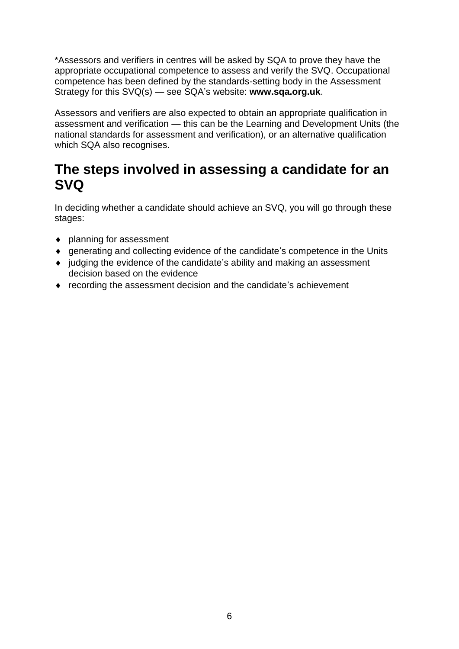\*Assessors and verifiers in centres will be asked by SQA to prove they have the appropriate occupational competence to assess and verify the SVQ. Occupational competence has been defined by the standards-setting body in the Assessment Strategy for this SVQ(s) — see SQA's website: **[www.sqa.org.uk](http://www.sqa.org.uk/)**.

Assessors and verifiers are also expected to obtain an appropriate qualification in assessment and verification — this can be the Learning and Development Units (the national standards for assessment and verification), or an alternative qualification which SQA also recognises.

## <span id="page-6-0"></span>**The steps involved in assessing a candidate for an SVQ**

In deciding whether a candidate should achieve an SVQ, you will go through these stages:

- ◆ planning for assessment
- generating and collecting evidence of the candidate's competence in the Units
- $\bullet$  judging the evidence of the candidate's ability and making an assessment decision based on the evidence
- recording the assessment decision and the candidate's achievement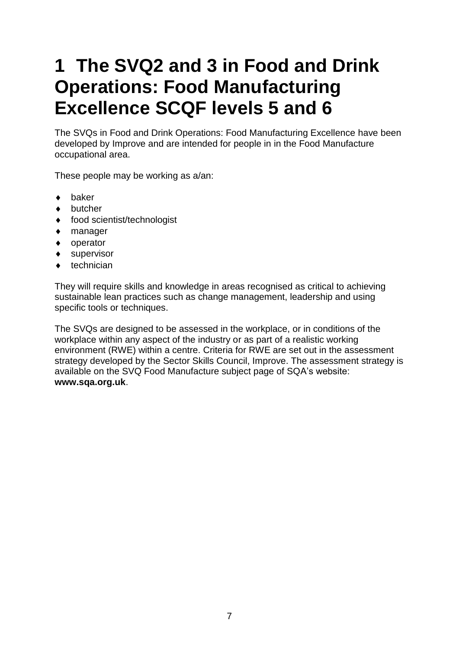# <span id="page-7-0"></span>**1 The SVQ2 and 3 in Food and Drink Operations: Food Manufacturing Excellence SCQF levels 5 and 6**

The SVQs in Food and Drink Operations: Food Manufacturing Excellence have been developed by Improve and are intended for people in in the Food Manufacture occupational area.

These people may be working as a/an:

- $\bullet$  baker
- butcher
- food scientist/technologist
- manager
- ◆ operator
- ◆ supervisor
- technician

They will require skills and knowledge in areas recognised as critical to achieving sustainable lean practices such as change management, leadership and using specific tools or techniques.

The SVQs are designed to be assessed in the workplace, or in conditions of the workplace within any aspect of the industry or as part of a realistic working environment (RWE) within a centre. Criteria for RWE are set out in the assessment strategy developed by the Sector Skills Council, Improve. The assessment strategy is available on the SVQ Food Manufacture subject page of SQA's website: **www.sqa.org.uk**.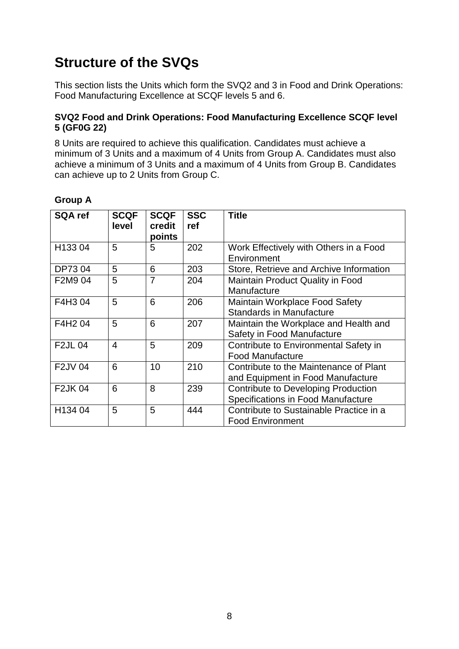# <span id="page-8-0"></span>**Structure of the SVQs**

This section lists the Units which form the SVQ2 and 3 in Food and Drink Operations: Food Manufacturing Excellence at SCQF levels 5 and 6.

#### **SVQ2 Food and Drink Operations: Food Manufacturing Excellence SCQF level 5 (GF0G 22)**

8 Units are required to achieve this qualification. Candidates must achieve a minimum of 3 Units and a maximum of 4 Units from Group A. Candidates must also achieve a minimum of 3 Units and a maximum of 4 Units from Group B. Candidates can achieve up to 2 Units from Group C.

| <b>SQA ref</b>      | <b>SCQF</b><br>level | <b>SCQF</b><br>credit<br>points | <b>SSC</b><br>ref | <b>Title</b>                                                                     |
|---------------------|----------------------|---------------------------------|-------------------|----------------------------------------------------------------------------------|
| H <sub>133</sub> 04 | 5                    | 5                               | 202               | Work Effectively with Others in a Food<br>Environment                            |
| DP73 04             | 5                    | 6                               | 203               | Store, Retrieve and Archive Information                                          |
| F2M9 04             | 5                    | $\overline{7}$                  | 204               | Maintain Product Quality in Food<br>Manufacture                                  |
| F4H3 04             | 5                    | 6                               | 206               | Maintain Workplace Food Safety<br><b>Standards in Manufacture</b>                |
| F4H2 04             | 5                    | 6                               | 207               | Maintain the Workplace and Health and<br>Safety in Food Manufacture              |
| <b>F2JL 04</b>      | $\overline{4}$       | 5                               | 209               | Contribute to Environmental Safety in<br><b>Food Manufacture</b>                 |
| <b>F2JV 04</b>      | 6                    | 10                              | 210               | Contribute to the Maintenance of Plant<br>and Equipment in Food Manufacture      |
| <b>F2JK 04</b>      | 6                    | 8                               | 239               | Contribute to Developing Production<br><b>Specifications in Food Manufacture</b> |
| H <sub>134</sub> 04 | 5                    | 5                               | 444               | Contribute to Sustainable Practice in a<br><b>Food Environment</b>               |

#### **Group A**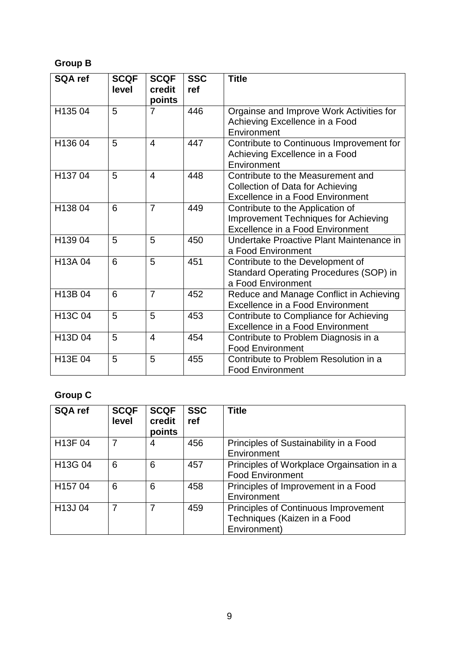## **Group B**

| SQA ref                         | <b>SCQF</b><br>level | <b>SCQF</b><br>credit<br>points | <b>SSC</b><br>ref | <b>Title</b>                                                                                                        |
|---------------------------------|----------------------|---------------------------------|-------------------|---------------------------------------------------------------------------------------------------------------------|
| H13504                          | 5                    | 7                               | 446               | Orgainse and Improve Work Activities for<br>Achieving Excellence in a Food<br>Environment                           |
| H13604                          | 5                    | 4                               | 447               | Contribute to Continuous Improvement for<br>Achieving Excellence in a Food<br>Environment                           |
| H <sub>137</sub> 04             | 5                    | $\overline{4}$                  | 448               | Contribute to the Measurement and<br>Collection of Data for Achieving<br><b>Excellence in a Food Environment</b>    |
| H13804                          | 6                    | $\overline{7}$                  | 449               | Contribute to the Application of<br>Improvement Techniques for Achieving<br><b>Excellence in a Food Environment</b> |
| H13904                          | 5                    | 5                               | 450               | Undertake Proactive Plant Maintenance in<br>a Food Environment                                                      |
| H <sub>13</sub> A 04            | 6                    | 5                               | 451               | Contribute to the Development of<br>Standard Operating Procedures (SOP) in<br>a Food Environment                    |
| H13B 04                         | 6                    | $\overline{7}$                  | 452               | Reduce and Manage Conflict in Achieving<br><b>Excellence in a Food Environment</b>                                  |
| H13C 04                         | 5                    | 5                               | 453               | Contribute to Compliance for Achieving<br><b>Excellence in a Food Environment</b>                                   |
| H <sub>13</sub> D <sub>04</sub> | 5                    | $\overline{4}$                  | 454               | Contribute to Problem Diagnosis in a<br><b>Food Environment</b>                                                     |
| H13E 04                         | 5                    | 5                               | 455               | Contribute to Problem Resolution in a<br><b>Food Environment</b>                                                    |

## **Group C**

| <b>SQA ref</b>                  | <b>SCQF</b><br>level | <b>SCQF</b><br>credit<br>points | <b>SSC</b><br>ref | <b>Title</b>                                                                         |
|---------------------------------|----------------------|---------------------------------|-------------------|--------------------------------------------------------------------------------------|
| H <sub>13</sub> F <sub>04</sub> |                      | 4                               | 456               | Principles of Sustainability in a Food<br>Environment                                |
| H13G 04                         | 6                    | 6                               | 457               | Principles of Workplace Orgainsation in a<br><b>Food Environment</b>                 |
| H <sub>157</sub> 04             | 6                    | 6                               | 458               | Principles of Improvement in a Food<br>Environment                                   |
| H <sub>13</sub> J 04            |                      | 7                               | 459               | Principles of Continuous Improvement<br>Techniques (Kaizen in a Food<br>Environment) |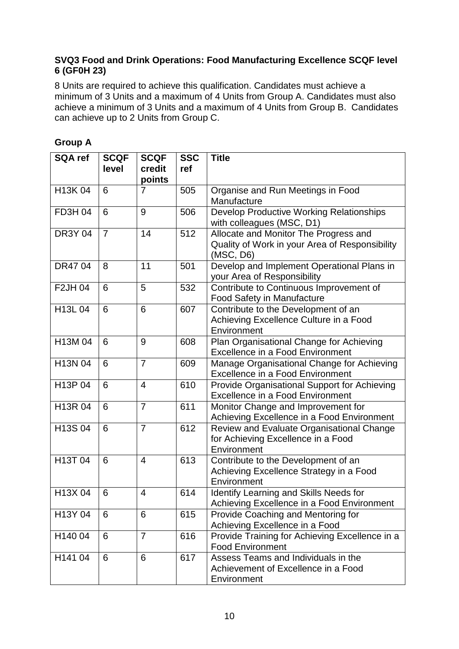#### **SVQ3 Food and Drink Operations: Food Manufacturing Excellence SCQF level 6 (GF0H 23)**

8 Units are required to achieve this qualification. Candidates must achieve a minimum of 3 Units and a maximum of 4 Units from Group A. Candidates must also achieve a minimum of 3 Units and a maximum of 4 Units from Group B. Candidates can achieve up to 2 Units from Group C.

| SQA ref        | <b>SCQF</b><br>level | <b>SCQF</b><br>credit   | <b>SSC</b><br>ref | <b>Title</b>                                                                                         |
|----------------|----------------------|-------------------------|-------------------|------------------------------------------------------------------------------------------------------|
|                |                      | points                  |                   |                                                                                                      |
| H13K04         | 6                    | $\overline{7}$          | 505               | Organise and Run Meetings in Food<br>Manufacture                                                     |
| <b>FD3H04</b>  | 6                    | 9                       | 506               | Develop Productive Working Relationships<br>with colleagues (MSC, D1)                                |
| <b>DR3Y 04</b> | $\overline{7}$       | 14                      | 512               | Allocate and Monitor The Progress and<br>Quality of Work in your Area of Responsibility<br>(MSC, D6) |
| DR47 04        | 8                    | 11                      | 501               | Develop and Implement Operational Plans in<br>your Area of Responsibility                            |
| <b>F2JH 04</b> | 6                    | 5                       | 532               | Contribute to Continuous Improvement of<br><b>Food Safety in Manufacture</b>                         |
| H13L04         | 6                    | 6                       | 607               | Contribute to the Development of an<br>Achieving Excellence Culture in a Food<br>Environment         |
| H13M 04        | 6                    | 9                       | 608               | Plan Organisational Change for Achieving<br>Excellence in a Food Environment                         |
| H13N 04        | 6                    | $\overline{7}$          | 609               | Manage Organisational Change for Achieving<br>Excellence in a Food Environment                       |
| H13P 04        | 6                    | $\overline{4}$          | 610               | Provide Organisational Support for Achieving<br><b>Excellence in a Food Environment</b>              |
| H13R 04        | 6                    | $\overline{7}$          | 611               | Monitor Change and Improvement for<br>Achieving Excellence in a Food Environment                     |
| H13S 04        | 6                    | $\overline{7}$          | 612               | Review and Evaluate Organisational Change<br>for Achieving Excellence in a Food<br>Environment       |
| H13T04         | 6                    | $\overline{4}$          | 613               | Contribute to the Development of an<br>Achieving Excellence Strategy in a Food<br>Environment        |
| H13X 04        | 6                    | $\overline{\mathbf{4}}$ | 614               | <b>Identify Learning and Skills Needs for</b><br>Achieving Excellence in a Food Environment          |
| H13Y 04        | 6                    | 6                       | 615               | Provide Coaching and Mentoring for<br>Achieving Excellence in a Food                                 |
| H14004         | 6                    | $\overline{7}$          | 616               | Provide Training for Achieving Excellence in a<br><b>Food Environment</b>                            |
| H14104         | 6                    | 6                       | 617               | Assess Teams and Individuals in the<br>Achievement of Excellence in a Food<br>Environment            |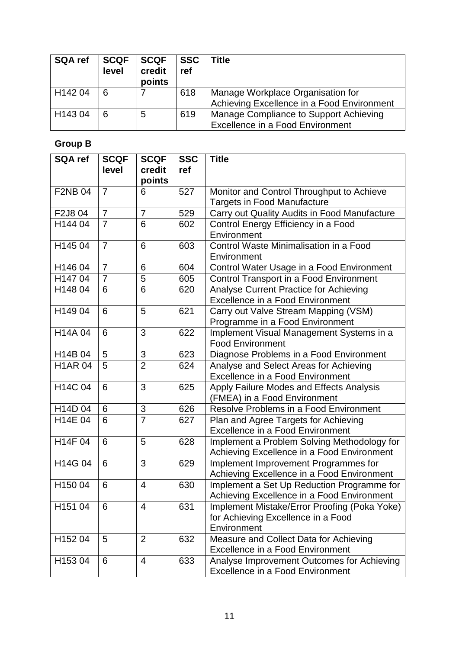| <b>SQA ref</b>      | <b>SCQF</b><br>level | <b>SCQF</b><br>credit<br>points | <b>SSC</b><br>ref | <b>Title</b>                                                                    |
|---------------------|----------------------|---------------------------------|-------------------|---------------------------------------------------------------------------------|
| H <sub>142</sub> 04 | 6                    |                                 | 618               | Manage Workplace Organisation for<br>Achieving Excellence in a Food Environment |
| H14304              | 6                    | 5                               | 619               | Manage Compliance to Support Achieving<br>Excellence in a Food Environment      |

## **Group B**

| SQA ref                         | <b>SCQF</b>    | <b>SCQF</b>    | <b>SSC</b> | <b>Title</b>                                                                      |
|---------------------------------|----------------|----------------|------------|-----------------------------------------------------------------------------------|
|                                 | level          | credit         | ref        |                                                                                   |
|                                 |                | points         |            |                                                                                   |
| <b>F2NB 04</b>                  | $\overline{7}$ | 6              | 527        | Monitor and Control Throughput to Achieve                                         |
|                                 |                |                |            | <b>Targets in Food Manufacture</b>                                                |
| F2J8 04                         | $\overline{7}$ | $\overline{7}$ | 529        | Carry out Quality Audits in Food Manufacture                                      |
| H14404                          | $\overline{7}$ | 6              | 602        | Control Energy Efficiency in a Food                                               |
|                                 |                |                |            | Environment                                                                       |
| H14504                          | $\overline{7}$ | 6              | 603        | Control Waste Minimalisation in a Food                                            |
|                                 |                |                |            | Environment                                                                       |
| H14604                          | $\overline{7}$ | 6              | 604        | Control Water Usage in a Food Environment                                         |
| H14704                          | $\overline{7}$ | 5              | 605        | Control Transport in a Food Environment                                           |
| H14804                          | 6              | 6              | 620        | Analyse Current Practice for Achieving                                            |
|                                 |                |                |            | <b>Excellence in a Food Environment</b>                                           |
| H14904                          | 6              | 5              | 621        | Carry out Valve Stream Mapping (VSM)                                              |
|                                 |                |                |            | Programme in a Food Environment                                                   |
| H14A 04                         | 6              | 3              | 622        | Implement Visual Management Systems in a                                          |
|                                 |                |                |            | <b>Food Environment</b>                                                           |
| H14B 04                         | 5              | 3              | 623        | Diagnose Problems in a Food Environment                                           |
| <b>H1AR04</b>                   | 5              | $\overline{2}$ | 624        | Analyse and Select Areas for Achieving                                            |
|                                 |                |                |            | <b>Excellence in a Food Environment</b>                                           |
| H14C 04                         | 6              | 3              | 625        | Apply Failure Modes and Effects Analysis                                          |
|                                 |                |                |            | (FMEA) in a Food Environment                                                      |
| H <sub>14</sub> D <sub>04</sub> | 6              | 3              | 626        | Resolve Problems in a Food Environment                                            |
| H14E 04                         | 6              | $\overline{7}$ | 627        | Plan and Agree Targets for Achieving                                              |
|                                 |                |                |            | Excellence in a Food Environment                                                  |
| H14F 04                         | 6              | 5              | 628        | Implement a Problem Solving Methodology for                                       |
|                                 |                |                |            | Achieving Excellence in a Food Environment                                        |
| H14G 04                         | 6              | 3              | 629        | Implement Improvement Programmes for                                              |
|                                 |                |                |            | Achieving Excellence in a Food Environment                                        |
| H15004                          | 6              | $\overline{4}$ | 630        | Implement a Set Up Reduction Programme for                                        |
|                                 |                |                |            | Achieving Excellence in a Food Environment                                        |
| H15104                          | 6              | $\overline{4}$ | 631        | Implement Mistake/Error Proofing (Poka Yoke)                                      |
|                                 |                |                |            | for Achieving Excellence in a Food<br>Environment                                 |
|                                 |                | $\overline{2}$ |            |                                                                                   |
| H15204                          | 5              |                | 632        | Measure and Collect Data for Achieving<br><b>Excellence in a Food Environment</b> |
|                                 |                |                |            |                                                                                   |
|                                 |                |                |            | <b>Excellence in a Food Environment</b>                                           |
| H15304                          | 6              | $\overline{4}$ | 633        | Analyse Improvement Outcomes for Achieving                                        |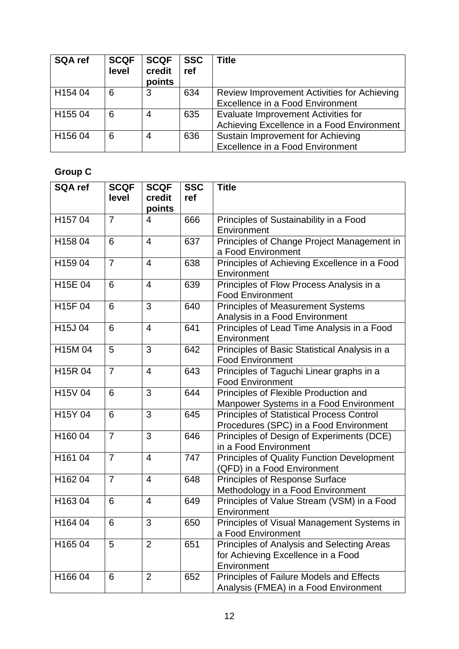| <b>SQA ref</b>      | <b>SCQF</b><br>level | <b>SCQF</b><br>credit<br>points | <b>SSC</b><br>ref | <b>Title</b>                                                                             |
|---------------------|----------------------|---------------------------------|-------------------|------------------------------------------------------------------------------------------|
| H <sub>154</sub> 04 | 6                    | 3                               | 634               | Review Improvement Activities for Achieving<br>Excellence in a Food Environment          |
| H <sub>155</sub> 04 | 6                    | 4                               | 635               | <b>Evaluate Improvement Activities for</b><br>Achieving Excellence in a Food Environment |
| H <sub>156</sub> 04 | 6                    | 4                               | 636               | Sustain Improvement for Achieving<br>Excellence in a Food Environment                    |

## **Group C**

| <b>SQA ref</b>       | <b>SCQF</b><br>level | <b>SCQF</b><br>credit<br>points | <b>SSC</b><br>ref | <b>Title</b>                                                                                    |
|----------------------|----------------------|---------------------------------|-------------------|-------------------------------------------------------------------------------------------------|
| H15704               | $\overline{7}$       | $\overline{4}$                  | 666               | Principles of Sustainability in a Food                                                          |
|                      |                      |                                 |                   | Environment                                                                                     |
| H15804               | 6                    | $\overline{4}$                  | 637               | Principles of Change Project Management in<br>a Food Environment                                |
| H15904               | $\overline{7}$       | $\overline{4}$                  | 638               | Principles of Achieving Excellence in a Food                                                    |
|                      |                      |                                 |                   | Environment                                                                                     |
| H15E 04              | 6                    | $\overline{4}$                  | 639               | Principles of Flow Process Analysis in a<br><b>Food Environment</b>                             |
| H15F04               | 6                    | 3                               | 640               | <b>Principles of Measurement Systems</b>                                                        |
|                      |                      |                                 |                   | Analysis in a Food Environment                                                                  |
| H15J04               | 6                    | $\overline{4}$                  | 641               | Principles of Lead Time Analysis in a Food<br>Environment                                       |
| H15M 04              | 5                    | 3                               | 642               | Principles of Basic Statistical Analysis in a                                                   |
|                      |                      |                                 |                   | <b>Food Environment</b>                                                                         |
| H <sub>15</sub> R 04 | $\overline{7}$       | $\overline{4}$                  | 643               | Principles of Taguchi Linear graphs in a<br><b>Food Environment</b>                             |
| H <sub>15</sub> V 04 | 6                    | 3                               | 644               | Principles of Flexible Production and                                                           |
|                      |                      |                                 |                   | Manpower Systems in a Food Environment                                                          |
| H15Y 04              | 6                    | 3                               | 645               | <b>Principles of Statistical Process Control</b>                                                |
|                      |                      |                                 |                   | Procedures (SPC) in a Food Environment                                                          |
| H16004               | $\overline{7}$       | 3                               | 646               | Principles of Design of Experiments (DCE)                                                       |
|                      |                      |                                 |                   | in a Food Environment                                                                           |
| H16104               | $\overline{7}$       | $\overline{4}$                  | 747               | <b>Principles of Quality Function Development</b><br>(QFD) in a Food Environment                |
| H16204               | $\overline{7}$       | $\overline{4}$                  | 648               | <b>Principles of Response Surface</b>                                                           |
|                      |                      |                                 |                   | Methodology in a Food Environment                                                               |
| H16304               | 6                    | $\overline{4}$                  | 649               | Principles of Value Stream (VSM) in a Food<br>Environment                                       |
| H <sub>164</sub> 04  | 6                    | 3                               | 650               | Principles of Visual Management Systems in<br>a Food Environment                                |
| H16504               | 5                    | $\overline{2}$                  | 651               | Principles of Analysis and Selecting Areas<br>for Achieving Excellence in a Food<br>Environment |
| H16604               | 6                    | $\overline{2}$                  | 652               | Principles of Failure Models and Effects<br>Analysis (FMEA) in a Food Environment               |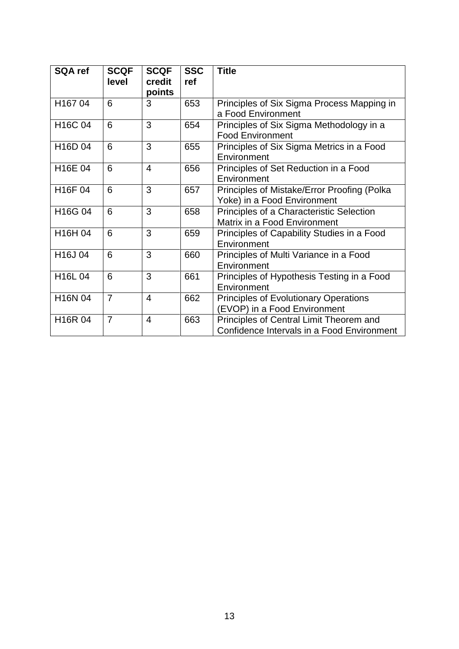| <b>SQA ref</b>                  | <b>SCQF</b><br>level | <b>SCQF</b><br>credit | <b>SSC</b><br>ref | <b>Title</b>                                                                          |
|---------------------------------|----------------------|-----------------------|-------------------|---------------------------------------------------------------------------------------|
|                                 |                      | points                |                   |                                                                                       |
| H16704                          | 6                    | 3                     | 653               | Principles of Six Sigma Process Mapping in<br>a Food Environment                      |
| H <sub>16</sub> C <sub>04</sub> | 6                    | 3                     | 654               | Principles of Six Sigma Methodology in a<br><b>Food Environment</b>                   |
| H <sub>16</sub> D <sub>04</sub> | 6                    | 3                     | 655               | Principles of Six Sigma Metrics in a Food<br>Environment                              |
| H <sub>16</sub> E 04            | 6                    | $\overline{4}$        | 656               | Principles of Set Reduction in a Food<br>Environment                                  |
| H16F04                          | 6                    | 3                     | 657               | Principles of Mistake/Error Proofing (Polka<br>Yoke) in a Food Environment            |
| H <sub>16</sub> G 04            | 6                    | 3                     | 658               | Principles of a Characteristic Selection<br>Matrix in a Food Environment              |
| H16H 04                         | 6                    | 3                     | 659               | Principles of Capability Studies in a Food<br>Environment                             |
| H16J04                          | 6                    | 3                     | 660               | Principles of Multi Variance in a Food<br>Environment                                 |
| <b>H16L04</b>                   | 6                    | 3                     | 661               | Principles of Hypothesis Testing in a Food<br>Environment                             |
| <b>H16N04</b>                   | $\overline{7}$       | $\overline{4}$        | 662               | <b>Principles of Evolutionary Operations</b><br>(EVOP) in a Food Environment          |
| H <sub>16</sub> R <sub>04</sub> | $\overline{7}$       | $\overline{4}$        | 663               | Principles of Central Limit Theorem and<br>Confidence Intervals in a Food Environment |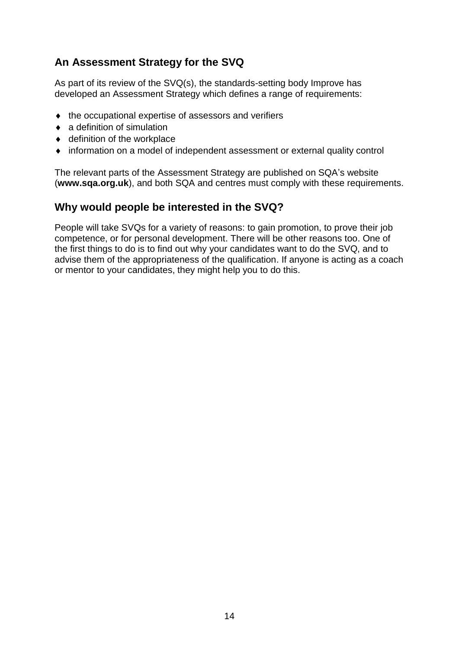## <span id="page-14-0"></span>**An Assessment Strategy for the SVQ**

As part of its review of the SVQ(s), the standards-setting body Improve has developed an Assessment Strategy which defines a range of requirements:

- $\bullet$  the occupational expertise of assessors and verifiers
- a definition of simulation
- definition of the workplace
- information on a model of independent assessment or external quality control

The relevant parts of the Assessment Strategy are published on SQA's website (**[www.sqa.org.uk](http://www.sqa.org.uk/)**), and both SQA and centres must comply with these requirements.

### <span id="page-14-1"></span>**Why would people be interested in the SVQ?**

People will take SVQs for a variety of reasons: to gain promotion, to prove their job competence, or for personal development. There will be other reasons too. One of the first things to do is to find out why your candidates want to do the SVQ, and to advise them of the appropriateness of the qualification. If anyone is acting as a coach or mentor to your candidates, they might help you to do this.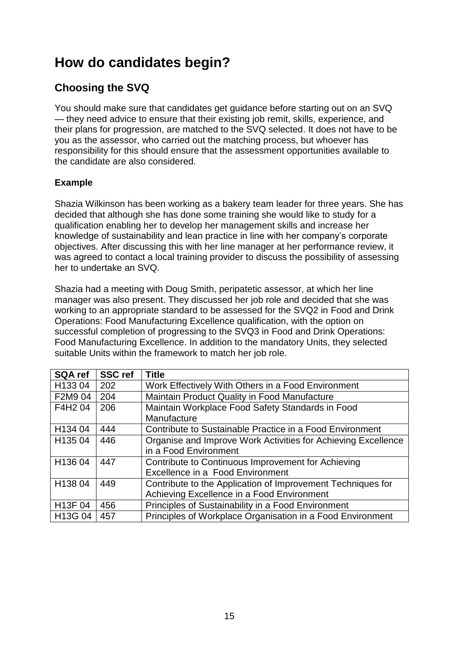# <span id="page-15-0"></span>**How do candidates begin?**

## <span id="page-15-1"></span>**Choosing the SVQ**

You should make sure that candidates get guidance before starting out on an SVQ — they need advice to ensure that their existing job remit, skills, experience, and their plans for progression, are matched to the SVQ selected. It does not have to be you as the assessor, who carried out the matching process, but whoever has responsibility for this should ensure that the assessment opportunities available to the candidate are also considered.

### **Example**

Shazia Wilkinson has been working as a bakery team leader for three years. She has decided that although she has done some training she would like to study for a qualification enabling her to develop her management skills and increase her knowledge of sustainability and lean practice in line with her company's corporate objectives. After discussing this with her line manager at her performance review, it was agreed to contact a local training provider to discuss the possibility of assessing her to undertake an SVQ.

Shazia had a meeting with Doug Smith, peripatetic assessor, at which her line manager was also present. They discussed her job role and decided that she was working to an appropriate standard to be assessed for the SVQ2 in Food and Drink Operations: Food Manufacturing Excellence qualification, with the option on successful completion of progressing to the SVQ3 in Food and Drink Operations: Food Manufacturing Excellence. In addition to the mandatory Units, they selected suitable Units within the framework to match her job role.

| <b>SQA ref</b>      | <b>SSC ref</b> | <b>Title</b>                                                  |
|---------------------|----------------|---------------------------------------------------------------|
| H13304              | 202            | Work Effectively With Others in a Food Environment            |
| F2M9 04             | 204            | Maintain Product Quality in Food Manufacture                  |
| F4H2 04             | 206            | Maintain Workplace Food Safety Standards in Food              |
|                     |                | Manufacture                                                   |
| H <sub>134</sub> 04 | 444            | Contribute to Sustainable Practice in a Food Environment      |
| H13504              | 446            | Organise and Improve Work Activities for Achieving Excellence |
|                     |                | in a Food Environment                                         |
| H13604              | 447            | Contribute to Continuous Improvement for Achieving            |
|                     |                | Excellence in a Food Environment                              |
| H13804              | 449            | Contribute to the Application of Improvement Techniques for   |
|                     |                | Achieving Excellence in a Food Environment                    |
| H13F 04             | 456            | Principles of Sustainability in a Food Environment            |
| H13G 04             | 457            | Principles of Workplace Organisation in a Food Environment    |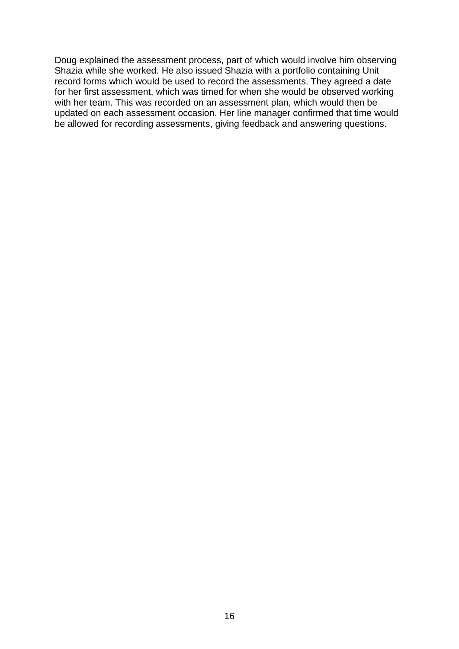Doug explained the assessment process, part of which would involve him observing Shazia while she worked. He also issued Shazia with a portfolio containing Unit record forms which would be used to record the assessments. They agreed a date for her first assessment, which was timed for when she would be observed working with her team. This was recorded on an assessment plan, which would then be updated on each assessment occasion. Her line manager confirmed that time would be allowed for recording assessments, giving feedback and answering questions.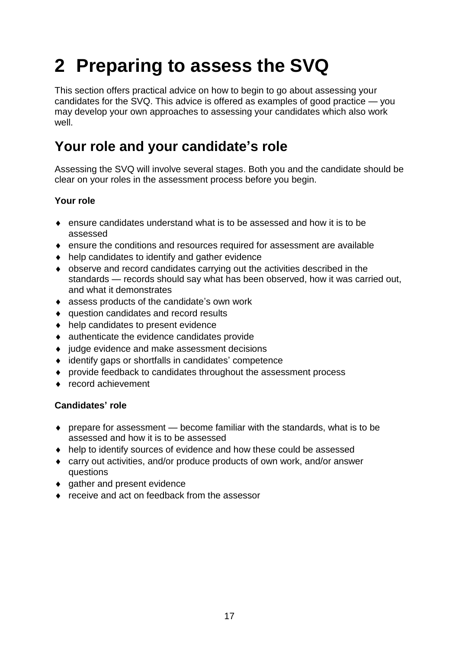# <span id="page-17-0"></span>**2 Preparing to assess the SVQ**

This section offers practical advice on how to begin to go about assessing your candidates for the SVQ. This advice is offered as examples of good practice — you may develop your own approaches to assessing your candidates which also work well.

# <span id="page-17-1"></span>**Your role and your candidate's role**

Assessing the SVQ will involve several stages. Both you and the candidate should be clear on your roles in the assessment process before you begin.

### **Your role**

- ensure candidates understand what is to be assessed and how it is to be assessed
- ensure the conditions and resources required for assessment are available
- help candidates to identify and gather evidence
- observe and record candidates carrying out the activities described in the standards — records should say what has been observed, how it was carried out, and what it demonstrates
- assess products of the candidate's own work
- question candidates and record results
- ◆ help candidates to present evidence
- authenticate the evidence candidates provide
- judge evidence and make assessment decisions
- identify gaps or shortfalls in candidates' competence
- provide feedback to candidates throughout the assessment process
- ◆ record achievement

### **Candidates' role**

- prepare for assessment become familiar with the standards, what is to be assessed and how it is to be assessed
- help to identify sources of evidence and how these could be assessed
- carry out activities, and/or produce products of own work, and/or answer questions
- gather and present evidence
- ◆ receive and act on feedback from the assessor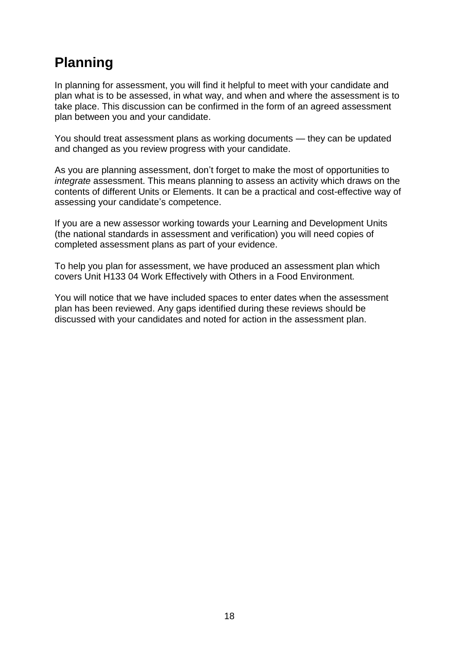# <span id="page-18-0"></span>**Planning**

In planning for assessment, you will find it helpful to meet with your candidate and plan what is to be assessed, in what way, and when and where the assessment is to take place. This discussion can be confirmed in the form of an agreed assessment plan between you and your candidate.

You should treat assessment plans as working documents — they can be updated and changed as you review progress with your candidate.

As you are planning assessment, don't forget to make the most of opportunities to *integrate* assessment. This means planning to assess an activity which draws on the contents of different Units or Elements. It can be a practical and cost-effective way of assessing your candidate's competence.

If you are a new assessor working towards your Learning and Development Units (the national standards in assessment and verification) you will need copies of completed assessment plans as part of your evidence.

To help you plan for assessment, we have produced an assessment plan which covers Unit H133 04 Work Effectively with Others in a Food Environment*.*

You will notice that we have included spaces to enter dates when the assessment plan has been reviewed. Any gaps identified during these reviews should be discussed with your candidates and noted for action in the assessment plan.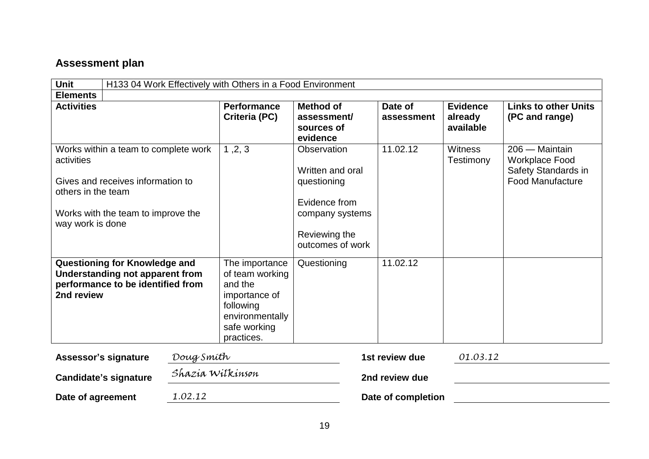## **Assessment plan**

<span id="page-19-0"></span>

| <b>Unit</b>                                          |                                                                                                                 |                  | H133 04 Work Effectively with Others in a Food Environment                                                                  |                                                                                                                         |                       |                                         |                                                                                           |
|------------------------------------------------------|-----------------------------------------------------------------------------------------------------------------|------------------|-----------------------------------------------------------------------------------------------------------------------------|-------------------------------------------------------------------------------------------------------------------------|-----------------------|-----------------------------------------|-------------------------------------------------------------------------------------------|
| <b>Elements</b>                                      |                                                                                                                 |                  |                                                                                                                             |                                                                                                                         |                       |                                         |                                                                                           |
| <b>Activities</b>                                    |                                                                                                                 |                  | <b>Performance</b><br>Criteria (PC)                                                                                         | <b>Method of</b><br>assessment/<br>sources of<br>evidence                                                               | Date of<br>assessment | <b>Evidence</b><br>already<br>available | <b>Links to other Units</b><br>(PC and range)                                             |
| activities<br>others in the team<br>way work is done | Works within a team to complete work<br>Gives and receives information to<br>Works with the team to improve the |                  | 1, 2, 3                                                                                                                     | Observation<br>Written and oral<br>questioning<br>Evidence from<br>company systems<br>Reviewing the<br>outcomes of work | 11.02.12              | <b>Witness</b><br>Testimony             | 206 — Maintain<br><b>Workplace Food</b><br>Safety Standards in<br><b>Food Manufacture</b> |
| 2nd review                                           | Questioning for Knowledge and<br><b>Understanding not apparent from</b><br>performance to be identified from    |                  | The importance<br>of team working<br>and the<br>importance of<br>following<br>environmentally<br>safe working<br>practices. | Questioning                                                                                                             | 11.02.12              |                                         |                                                                                           |
| <b>Assessor's signature</b>                          |                                                                                                                 | Doug Smíth       |                                                                                                                             |                                                                                                                         | 1st review due        | 01.03.12                                |                                                                                           |
| <b>Candidate's signature</b>                         |                                                                                                                 | Shazia Wilkinson |                                                                                                                             |                                                                                                                         | 2nd review due        |                                         |                                                                                           |
| Date of agreement                                    |                                                                                                                 | 1.02.12          |                                                                                                                             |                                                                                                                         | Date of completion    |                                         |                                                                                           |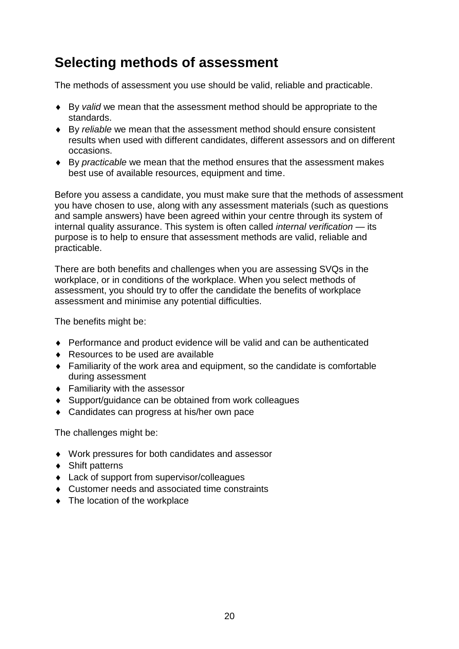## <span id="page-20-0"></span>**Selecting methods of assessment**

The methods of assessment you use should be valid, reliable and practicable.

- By *valid* we mean that the assessment method should be appropriate to the standards.
- By *reliable* we mean that the assessment method should ensure consistent results when used with different candidates, different assessors and on different occasions.
- By *practicable* we mean that the method ensures that the assessment makes best use of available resources, equipment and time.

Before you assess a candidate, you must make sure that the methods of assessment you have chosen to use, along with any assessment materials (such as questions and sample answers) have been agreed within your centre through its system of internal quality assurance. This system is often called *internal verification* — its purpose is to help to ensure that assessment methods are valid, reliable and practicable.

There are both benefits and challenges when you are assessing SVQs in the workplace, or in conditions of the workplace. When you select methods of assessment, you should try to offer the candidate the benefits of workplace assessment and minimise any potential difficulties.

The benefits might be:

- Performance and product evidence will be valid and can be authenticated
- ◆ Resources to be used are available
- Familiarity of the work area and equipment, so the candidate is comfortable during assessment
- ◆ Familiarity with the assessor
- ◆ Support/guidance can be obtained from work colleagues
- ◆ Candidates can progress at his/her own pace

The challenges might be:

- Work pressures for both candidates and assessor
- ◆ Shift patterns
- ◆ Lack of support from supervisor/colleagues
- Customer needs and associated time constraints
- $\bullet$  The location of the workplace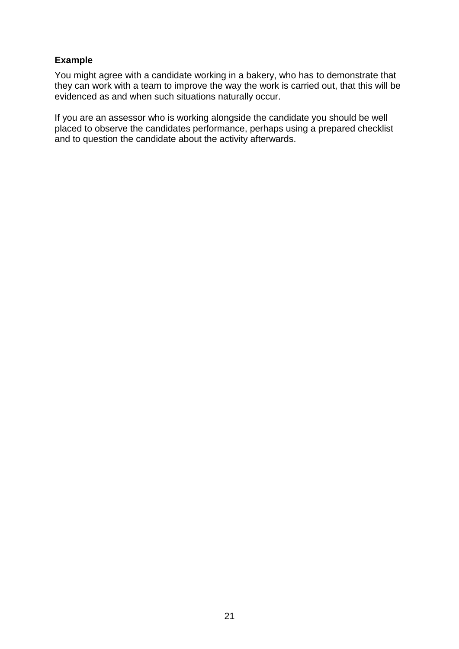#### **Example**

You might agree with a candidate working in a bakery, who has to demonstrate that they can work with a team to improve the way the work is carried out, that this will be evidenced as and when such situations naturally occur.

If you are an assessor who is working alongside the candidate you should be well placed to observe the candidates performance, perhaps using a prepared checklist and to question the candidate about the activity afterwards.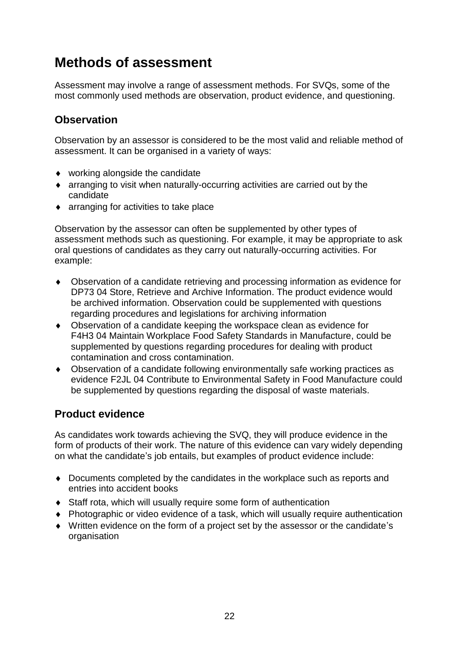## <span id="page-22-0"></span>**Methods of assessment**

Assessment may involve a range of assessment methods. For SVQs, some of the most commonly used methods are observation, product evidence, and questioning.

## <span id="page-22-1"></span>**Observation**

Observation by an assessor is considered to be the most valid and reliable method of assessment. It can be organised in a variety of ways:

- ◆ working alongside the candidate
- arranging to visit when naturally-occurring activities are carried out by the candidate
- arranging for activities to take place

Observation by the assessor can often be supplemented by other types of assessment methods such as questioning. For example, it may be appropriate to ask oral questions of candidates as they carry out naturally-occurring activities. For example:

- Observation of a candidate retrieving and processing information as evidence for DP73 04 Store, Retrieve and Archive Information. The product evidence would be archived information. Observation could be supplemented with questions regarding procedures and legislations for archiving information
- Observation of a candidate keeping the workspace clean as evidence for F4H3 04 Maintain Workplace Food Safety Standards in Manufacture, could be supplemented by questions regarding procedures for dealing with product contamination and cross contamination.
- Observation of a candidate following environmentally safe working practices as evidence F2JL 04 Contribute to Environmental Safety in Food Manufacture could be supplemented by questions regarding the disposal of waste materials.

## <span id="page-22-2"></span>**Product evidence**

As candidates work towards achieving the SVQ, they will produce evidence in the form of products of their work. The nature of this evidence can vary widely depending on what the candidate's job entails, but examples of product evidence include:

- Documents completed by the candidates in the workplace such as reports and entries into accident books
- Staff rota, which will usually require some form of authentication
- Photographic or video evidence of a task, which will usually require authentication
- Written evidence on the form of a project set by the assessor or the candidate's organisation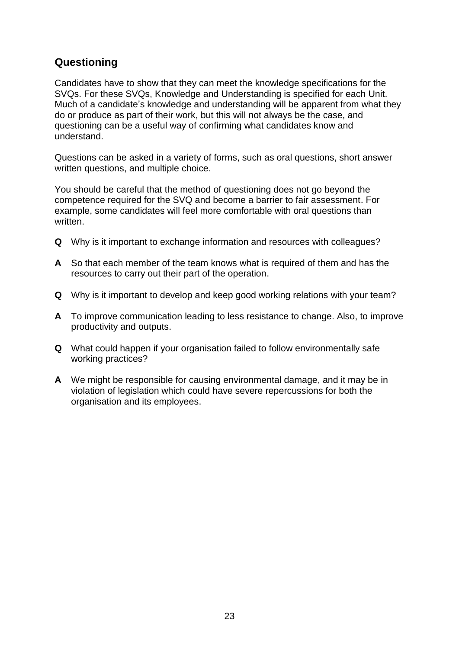## <span id="page-23-0"></span>**Questioning**

Candidates have to show that they can meet the knowledge specifications for the SVQs. For these SVQs, Knowledge and Understanding is specified for each Unit. Much of a candidate's knowledge and understanding will be apparent from what they do or produce as part of their work, but this will not always be the case, and questioning can be a useful way of confirming what candidates know and understand.

Questions can be asked in a variety of forms, such as oral questions, short answer written questions, and multiple choice.

You should be careful that the method of questioning does not go beyond the competence required for the SVQ and become a barrier to fair assessment. For example, some candidates will feel more comfortable with oral questions than written.

- **Q** Why is it important to exchange information and resources with colleagues?
- **A** So that each member of the team knows what is required of them and has the resources to carry out their part of the operation.
- **Q** Why is it important to develop and keep good working relations with your team?
- **A** To improve communication leading to less resistance to change. Also, to improve productivity and outputs.
- **Q** What could happen if your organisation failed to follow environmentally safe working practices?
- **A** We might be responsible for causing environmental damage, and it may be in violation of legislation which could have severe repercussions for both the organisation and its employees.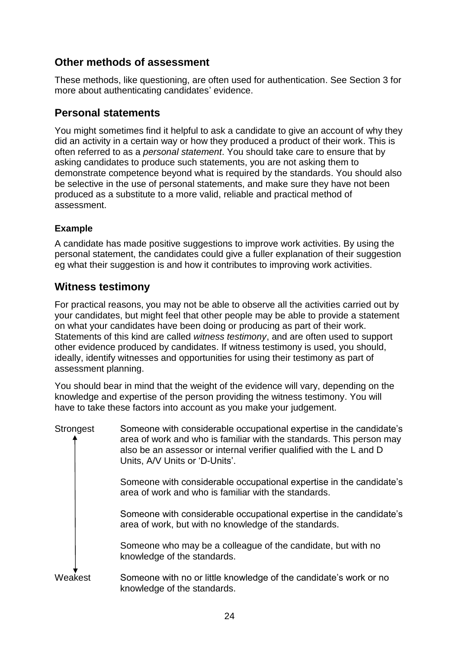## <span id="page-24-0"></span>**Other methods of assessment**

These methods, like questioning, are often used for authentication. See Section 3 for more about authenticating candidates' evidence.

#### <span id="page-24-1"></span>**Personal statements**

You might sometimes find it helpful to ask a candidate to give an account of why they did an activity in a certain way or how they produced a product of their work. This is often referred to as a *personal statement*. You should take care to ensure that by asking candidates to produce such statements, you are not asking them to demonstrate competence beyond what is required by the standards. You should also be selective in the use of personal statements, and make sure they have not been produced as a substitute to a more valid, reliable and practical method of assessment.

#### **Example**

A candidate has made positive suggestions to improve work activities. By using the personal statement, the candidates could give a fuller explanation of their suggestion eg what their suggestion is and how it contributes to improving work activities.

### <span id="page-24-2"></span>**Witness testimony**

For practical reasons, you may not be able to observe all the activities carried out by your candidates, but might feel that other people may be able to provide a statement on what your candidates have been doing or producing as part of their work. Statements of this kind are called *witness testimony*, and are often used to support other evidence produced by candidates. If witness testimony is used, you should, ideally, identify witnesses and opportunities for using their testimony as part of assessment planning.

You should bear in mind that the weight of the evidence will vary, depending on the knowledge and expertise of the person providing the witness testimony. You will have to take these factors into account as you make your judgement.

| Strongest | Someone with considerable occupational expertise in the candidate's<br>area of work and who is familiar with the standards. This person may<br>also be an assessor or internal verifier qualified with the L and D<br>Units, A/V Units or 'D-Units'. |
|-----------|------------------------------------------------------------------------------------------------------------------------------------------------------------------------------------------------------------------------------------------------------|
|           | Someone with considerable occupational expertise in the candidate's<br>area of work and who is familiar with the standards.                                                                                                                          |
|           | Someone with considerable occupational expertise in the candidate's<br>area of work, but with no knowledge of the standards.                                                                                                                         |
|           | Someone who may be a colleague of the candidate, but with no<br>knowledge of the standards.                                                                                                                                                          |
| Weakest   | Someone with no or little knowledge of the candidate's work or no<br>knowledge of the standards.                                                                                                                                                     |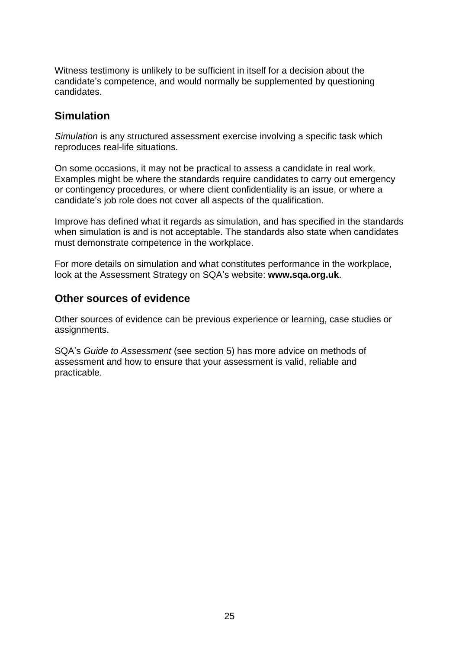Witness testimony is unlikely to be sufficient in itself for a decision about the candidate's competence, and would normally be supplemented by questioning candidates.

### <span id="page-25-0"></span>**Simulation**

*Simulation* is any structured assessment exercise involving a specific task which reproduces real-life situations.

On some occasions, it may not be practical to assess a candidate in real work. Examples might be where the standards require candidates to carry out emergency or contingency procedures, or where client confidentiality is an issue, or where a candidate's job role does not cover all aspects of the qualification.

Improve has defined what it regards as simulation, and has specified in the standards when simulation is and is not acceptable. The standards also state when candidates must demonstrate competence in the workplace.

For more details on simulation and what constitutes performance in the workplace, look at the Assessment Strategy on SQA's website: **www.sqa.org.uk**.

### <span id="page-25-1"></span>**Other sources of evidence**

Other sources of evidence can be previous experience or learning, case studies or assignments.

SQA's *Guide to Assessment* (see section 5) has more advice on methods of assessment and how to ensure that your assessment is valid, reliable and practicable.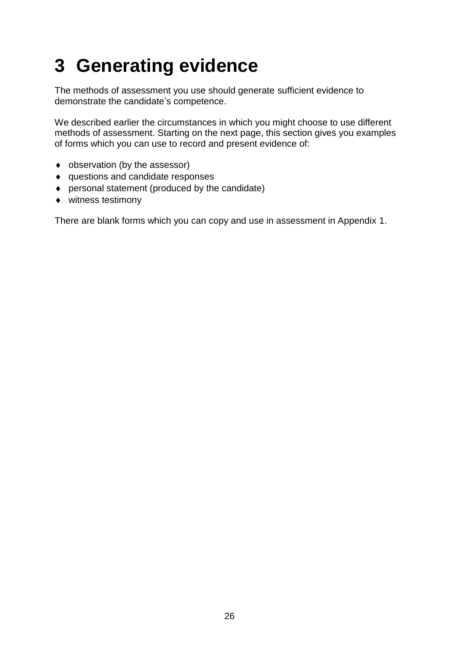# <span id="page-26-0"></span>**3 Generating evidence**

The methods of assessment you use should generate sufficient evidence to demonstrate the candidate's competence.

We described earlier the circumstances in which you might choose to use different methods of assessment. Starting on the next page, this section gives you examples of forms which you can use to record and present evidence of:

- observation (by the assessor)
- questions and candidate responses
- personal statement (produced by the candidate)
- witness testimony

There are blank forms which you can copy and use in assessment in Appendix 1.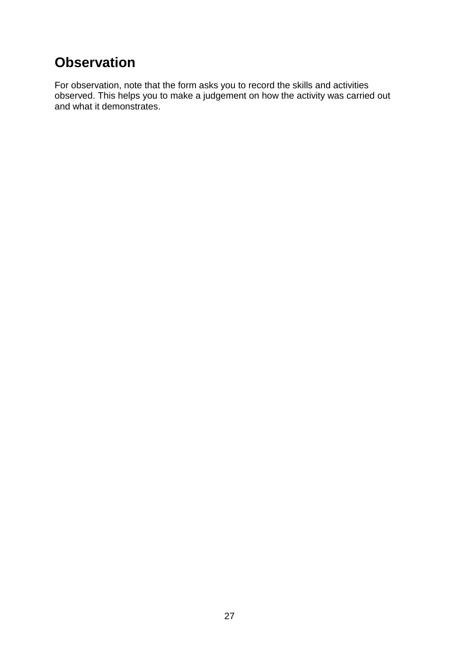## <span id="page-27-0"></span>**Observation**

For observation, note that the form asks you to record the skills and activities observed. This helps you to make a judgement on how the activity was carried out and what it demonstrates.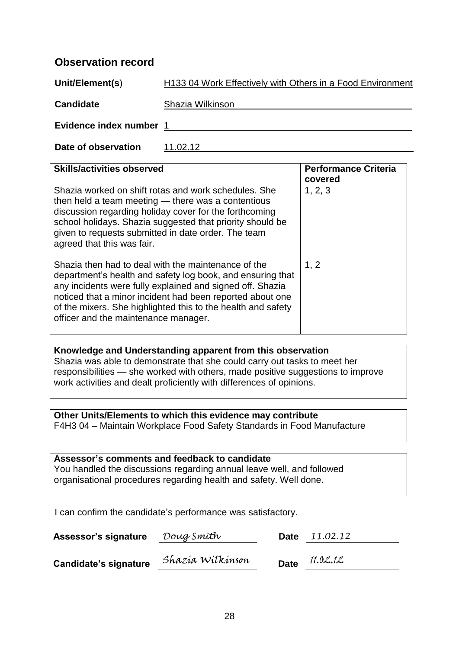### <span id="page-28-0"></span>**Observation record**

| Unit/Element(s)              | H <sub>133</sub> 04 Work Effectively with Others in a Food Environment |
|------------------------------|------------------------------------------------------------------------|
| <b>Candidate</b>             | Shazia Wilkinson                                                       |
| <b>Evidence index number</b> |                                                                        |

**Date of observation** 

|  |  | 11.02.12 |  |
|--|--|----------|--|
|  |  |          |  |

| <b>Skills/activities observed</b>                                                                                                                                                                                                                                                                                                                   | <b>Performance Criteria</b><br>covered |
|-----------------------------------------------------------------------------------------------------------------------------------------------------------------------------------------------------------------------------------------------------------------------------------------------------------------------------------------------------|----------------------------------------|
| Shazia worked on shift rotas and work schedules. She<br>then held a team meeting — there was a contentious<br>discussion regarding holiday cover for the forthcoming<br>school holidays. Shazia suggested that priority should be<br>given to requests submitted in date order. The team<br>agreed that this was fair.                              | 1, 2, 3                                |
| Shazia then had to deal with the maintenance of the<br>department's health and safety log book, and ensuring that<br>any incidents were fully explained and signed off. Shazia<br>noticed that a minor incident had been reported about one<br>of the mixers. She highlighted this to the health and safety<br>officer and the maintenance manager. | 1, 2                                   |

**Knowledge and Understanding apparent from this observation** Shazia was able to demonstrate that she could carry out tasks to meet her responsibilities — she worked with others, made positive suggestions to improve work activities and dealt proficiently with differences of opinions.

**Other Units/Elements to which this evidence may contribute**

F4H3 04 – Maintain Workplace Food Safety Standards in Food Manufacture

**Assessor's comments and feedback to candidate** You handled the discussions regarding annual leave well, and followed organisational procedures regarding health and safety. Well done.

I can confirm the candidate's performance was satisfactory.

| Doug Smíth       |  |                                         |
|------------------|--|-----------------------------------------|
| Shazia Wilkinson |  |                                         |
|                  |  | <b>Date</b> 11.02.12<br>Date $11.02.12$ |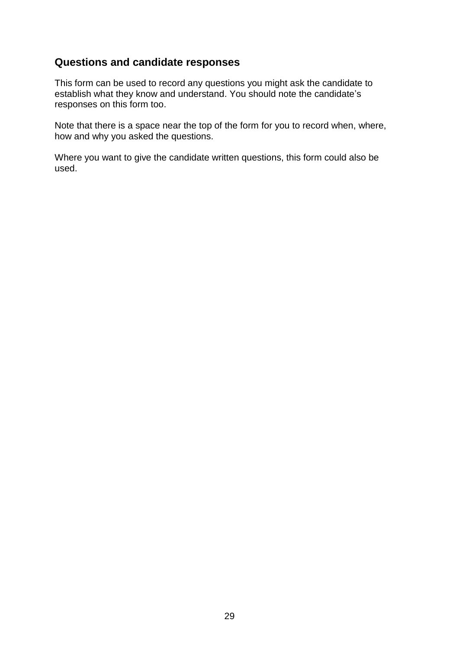### <span id="page-29-0"></span>**Questions and candidate responses**

This form can be used to record any questions you might ask the candidate to establish what they know and understand. You should note the candidate's responses on this form too.

Note that there is a space near the top of the form for you to record when, where, how and why you asked the questions.

Where you want to give the candidate written questions, this form could also be used.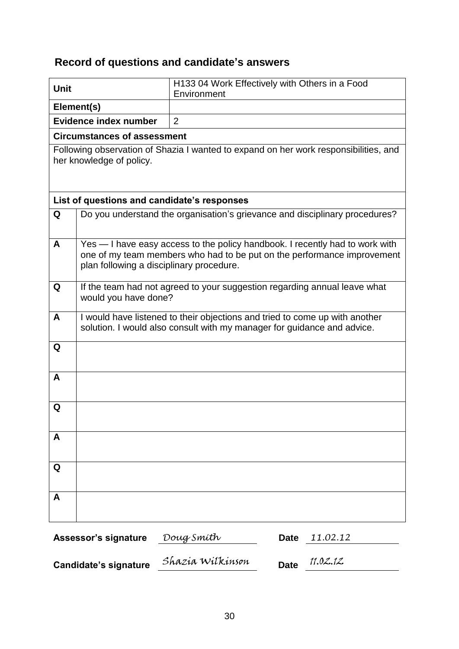## **Record of questions and candidate's answers**

| <b>Unit</b> |                                                                                                                                                                                                     | H133 04 Work Effectively with Others in a Food<br>Environment                                                                                          |  |  |  |  |  |
|-------------|-----------------------------------------------------------------------------------------------------------------------------------------------------------------------------------------------------|--------------------------------------------------------------------------------------------------------------------------------------------------------|--|--|--|--|--|
|             | Element(s)                                                                                                                                                                                          |                                                                                                                                                        |  |  |  |  |  |
|             | Evidence index number                                                                                                                                                                               | 2                                                                                                                                                      |  |  |  |  |  |
|             | <b>Circumstances of assessment</b>                                                                                                                                                                  |                                                                                                                                                        |  |  |  |  |  |
|             | her knowledge of policy.                                                                                                                                                                            | Following observation of Shazia I wanted to expand on her work responsibilities, and                                                                   |  |  |  |  |  |
|             | List of questions and candidate's responses                                                                                                                                                         |                                                                                                                                                        |  |  |  |  |  |
| Q           |                                                                                                                                                                                                     | Do you understand the organisation's grievance and disciplinary procedures?                                                                            |  |  |  |  |  |
| A           | Yes — I have easy access to the policy handbook. I recently had to work with<br>one of my team members who had to be put on the performance improvement<br>plan following a disciplinary procedure. |                                                                                                                                                        |  |  |  |  |  |
| Q           | If the team had not agreed to your suggestion regarding annual leave what<br>would you have done?                                                                                                   |                                                                                                                                                        |  |  |  |  |  |
| A           |                                                                                                                                                                                                     | I would have listened to their objections and tried to come up with another<br>solution. I would also consult with my manager for guidance and advice. |  |  |  |  |  |
| Q           |                                                                                                                                                                                                     |                                                                                                                                                        |  |  |  |  |  |
| A           |                                                                                                                                                                                                     |                                                                                                                                                        |  |  |  |  |  |
| Q           |                                                                                                                                                                                                     |                                                                                                                                                        |  |  |  |  |  |
| A           |                                                                                                                                                                                                     |                                                                                                                                                        |  |  |  |  |  |
| Q           |                                                                                                                                                                                                     |                                                                                                                                                        |  |  |  |  |  |
| A           |                                                                                                                                                                                                     |                                                                                                                                                        |  |  |  |  |  |
|             | <b>Assessor's signature</b>                                                                                                                                                                         | 11.02.12<br>Doug Smíth<br><b>Date</b>                                                                                                                  |  |  |  |  |  |

**Candidate's signature** Shazia Wilkinson **Date** 11.02.12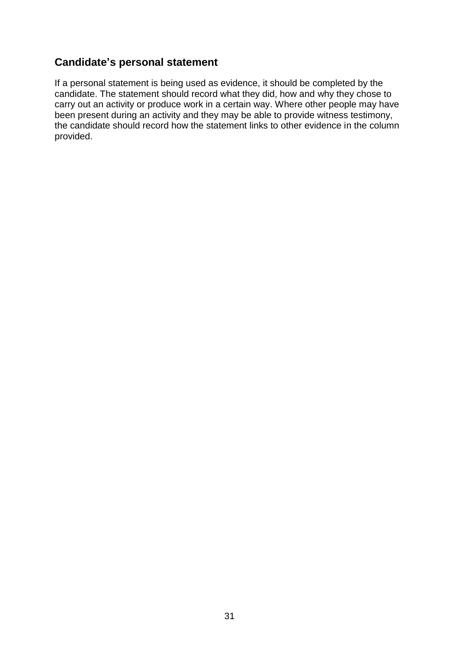## <span id="page-31-0"></span>**Candidate's personal statement**

If a personal statement is being used as evidence, it should be completed by the candidate. The statement should record what they did, how and why they chose to carry out an activity or produce work in a certain way. Where other people may have been present during an activity and they may be able to provide witness testimony, the candidate should record how the statement links to other evidence in the column provided.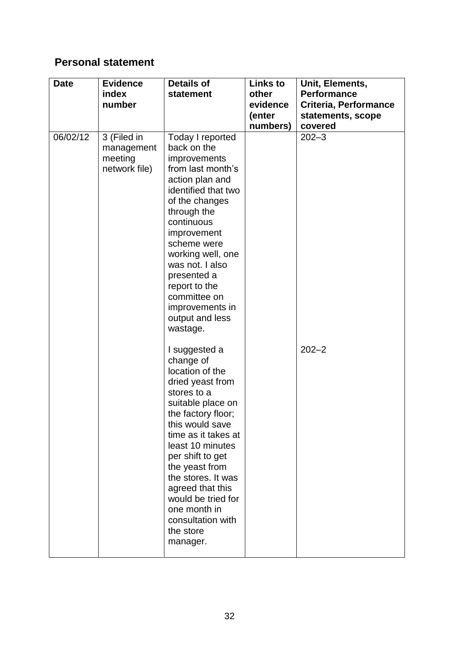## **Personal statement**

| <b>Date</b> | <b>Evidence</b><br>index<br>number                    | <b>Details of</b><br>statement                                                                                                                                                                                                                                                                                                                                | <b>Links to</b><br>other<br>evidence<br>(enter<br>numbers) | Unit, Elements,<br><b>Performance</b><br>Criteria, Performance<br>statements, scope<br>covered |
|-------------|-------------------------------------------------------|---------------------------------------------------------------------------------------------------------------------------------------------------------------------------------------------------------------------------------------------------------------------------------------------------------------------------------------------------------------|------------------------------------------------------------|------------------------------------------------------------------------------------------------|
| 06/02/12    | 3 (Filed in<br>management<br>meeting<br>network file) | Today I reported<br>back on the<br>improvements<br>from last month's<br>action plan and<br>identified that two<br>of the changes<br>through the<br>continuous<br>improvement<br>scheme were<br>working well, one<br>was not. I also<br>presented a<br>report to the<br>committee on<br>improvements in<br>output and less<br>wastage.                         |                                                            | $202 - 3$                                                                                      |
|             |                                                       | I suggested a<br>change of<br>location of the<br>dried yeast from<br>stores to a<br>suitable place on<br>the factory floor;<br>this would save<br>time as it takes at<br>least 10 minutes<br>per shift to get<br>the yeast from<br>the stores. It was<br>agreed that this<br>would be tried for<br>one month in<br>consultation with<br>the store<br>manager. |                                                            | $202 - 2$                                                                                      |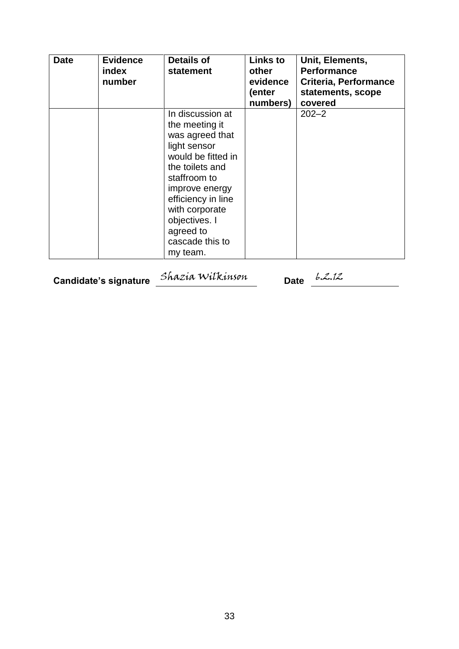| <b>Date</b> | <b>Evidence</b><br>index<br>number | Details of<br>statement                                                                                                                                                                                                                               | <b>Links to</b><br>other<br>evidence<br>(enter<br>numbers) | Unit, Elements,<br><b>Performance</b><br>Criteria, Performance<br>statements, scope<br>covered |
|-------------|------------------------------------|-------------------------------------------------------------------------------------------------------------------------------------------------------------------------------------------------------------------------------------------------------|------------------------------------------------------------|------------------------------------------------------------------------------------------------|
|             |                                    | In discussion at<br>the meeting it<br>was agreed that<br>light sensor<br>would be fitted in<br>the toilets and<br>staffroom to<br>improve energy<br>efficiency in line<br>with corporate<br>objectives. I<br>agreed to<br>cascade this to<br>my team. |                                                            | $202 - 2$                                                                                      |

**Candidate's signature** Shazia Wilkinson **Date** b.2.12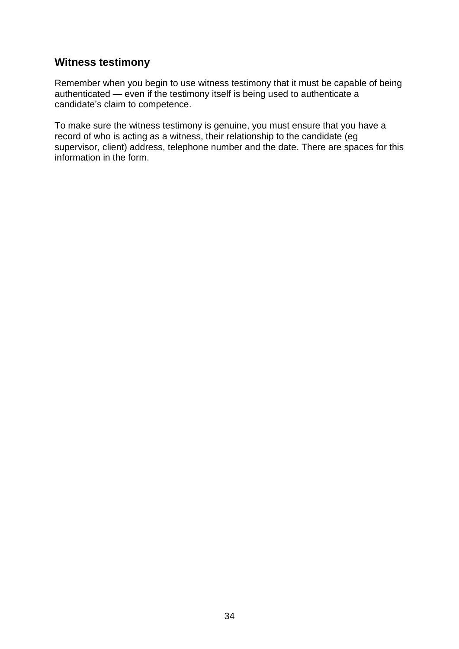## <span id="page-34-0"></span>**Witness testimony**

Remember when you begin to use witness testimony that it must be capable of being authenticated — even if the testimony itself is being used to authenticate a candidate's claim to competence.

To make sure the witness testimony is genuine, you must ensure that you have a record of who is acting as a witness, their relationship to the candidate (eg supervisor, client) address, telephone number and the date. There are spaces for this information in the form.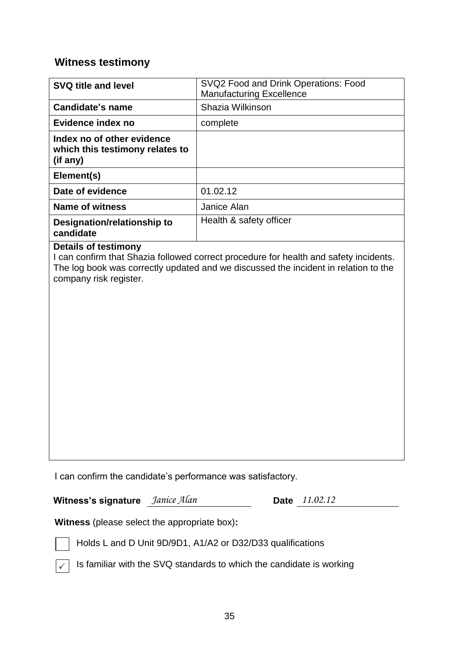### **Witness testimony**

| <b>SVQ title and level</b>                                                | SVQ2 Food and Drink Operations: Food<br><b>Manufacturing Excellence</b>                                                                                                      |
|---------------------------------------------------------------------------|------------------------------------------------------------------------------------------------------------------------------------------------------------------------------|
| <b>Candidate's name</b>                                                   | Shazia Wilkinson                                                                                                                                                             |
| Evidence index no                                                         | complete                                                                                                                                                                     |
| Index no of other evidence<br>which this testimony relates to<br>(if any) |                                                                                                                                                                              |
| Element(s)                                                                |                                                                                                                                                                              |
| Date of evidence                                                          | 01.02.12                                                                                                                                                                     |
| <b>Name of witness</b>                                                    | Janice Alan                                                                                                                                                                  |
| Designation/relationship to<br>candidate                                  | Health & safety officer                                                                                                                                                      |
| <b>Details of testimony</b><br>company risk register.                     | I can confirm that Shazia followed correct procedure for health and safety incidents.<br>The log book was correctly updated and we discussed the incident in relation to the |

I can confirm the candidate's performance was satisfactory.

**Witness's signature** *Janice Alan* **Date** *11.02.12* 

**Witness** (please select the appropriate box)**:**

Holds L and D Unit 9D/9D1, A1/A2 or D32/D33 qualifications

 $\sqrt{\phantom{a}}$  Is familiar with the SVQ standards to which the candidate is working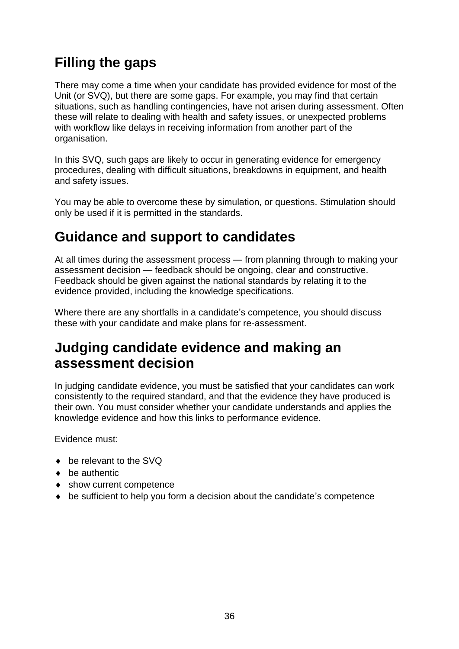# <span id="page-36-0"></span>**Filling the gaps**

There may come a time when your candidate has provided evidence for most of the Unit (or SVQ), but there are some gaps. For example, you may find that certain situations, such as handling contingencies, have not arisen during assessment. Often these will relate to dealing with health and safety issues, or unexpected problems with workflow like delays in receiving information from another part of the organisation.

In this SVQ, such gaps are likely to occur in generating evidence for emergency procedures, dealing with difficult situations, breakdowns in equipment, and health and safety issues.

You may be able to overcome these by simulation, or questions. Stimulation should only be used if it is permitted in the standards.

## <span id="page-36-1"></span>**Guidance and support to candidates**

At all times during the assessment process — from planning through to making your assessment decision — feedback should be ongoing, clear and constructive. Feedback should be given against the national standards by relating it to the evidence provided, including the knowledge specifications.

Where there are any shortfalls in a candidate's competence, you should discuss these with your candidate and make plans for re-assessment.

## <span id="page-36-2"></span>**Judging candidate evidence and making an assessment decision**

In judging candidate evidence, you must be satisfied that your candidates can work consistently to the required standard, and that the evidence they have produced is their own. You must consider whether your candidate understands and applies the knowledge evidence and how this links to performance evidence.

Evidence must:

- ◆ be relevant to the SVQ
- ◆ be authentic
- ◆ show current competence
- be sufficient to help you form a decision about the candidate's competence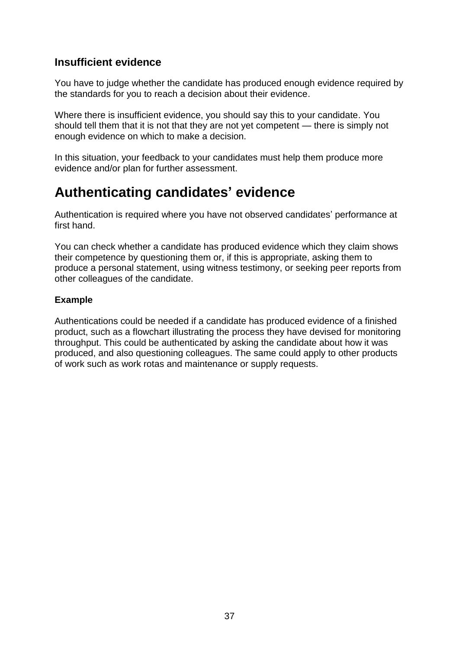## <span id="page-37-0"></span>**Insufficient evidence**

You have to judge whether the candidate has produced enough evidence required by the standards for you to reach a decision about their evidence.

Where there is insufficient evidence, you should say this to your candidate. You should tell them that it is not that they are not yet competent — there is simply not enough evidence on which to make a decision.

In this situation, your feedback to your candidates must help them produce more evidence and/or plan for further assessment.

## <span id="page-37-1"></span>**Authenticating candidates' evidence**

Authentication is required where you have not observed candidates' performance at first hand.

You can check whether a candidate has produced evidence which they claim shows their competence by questioning them or, if this is appropriate, asking them to produce a personal statement, using witness testimony, or seeking peer reports from other colleagues of the candidate.

#### **Example**

Authentications could be needed if a candidate has produced evidence of a finished product, such as a flowchart illustrating the process they have devised for monitoring throughput. This could be authenticated by asking the candidate about how it was produced, and also questioning colleagues. The same could apply to other products of work such as work rotas and maintenance or supply requests.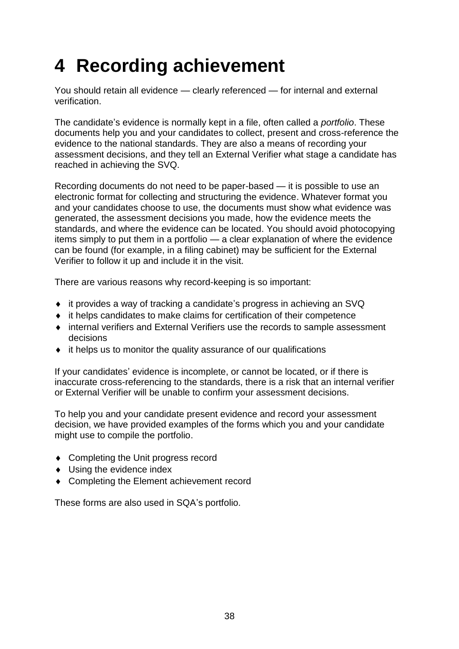# <span id="page-38-0"></span>**4 Recording achievement**

You should retain all evidence — clearly referenced — for internal and external verification.

The candidate's evidence is normally kept in a file, often called a *portfolio*. These documents help you and your candidates to collect, present and cross-reference the evidence to the national standards. They are also a means of recording your assessment decisions, and they tell an External Verifier what stage a candidate has reached in achieving the SVQ.

Recording documents do not need to be paper-based — it is possible to use an electronic format for collecting and structuring the evidence. Whatever format you and your candidates choose to use, the documents must show what evidence was generated, the assessment decisions you made, how the evidence meets the standards, and where the evidence can be located. You should avoid photocopying items simply to put them in a portfolio — a clear explanation of where the evidence can be found (for example, in a filing cabinet) may be sufficient for the External Verifier to follow it up and include it in the visit.

There are various reasons why record-keeping is so important:

- it provides a way of tracking a candidate's progress in achieving an SVQ
- it helps candidates to make claims for certification of their competence
- internal verifiers and External Verifiers use the records to sample assessment decisions
- $\bullet$  it helps us to monitor the quality assurance of our qualifications

If your candidates' evidence is incomplete, or cannot be located, or if there is inaccurate cross-referencing to the standards, there is a risk that an internal verifier or External Verifier will be unable to confirm your assessment decisions.

To help you and your candidate present evidence and record your assessment decision, we have provided examples of the forms which you and your candidate might use to compile the portfolio.

- ◆ Completing the Unit progress record
- Using the evidence index
- ◆ Completing the Element achievement record

These forms are also used in SQA's portfolio.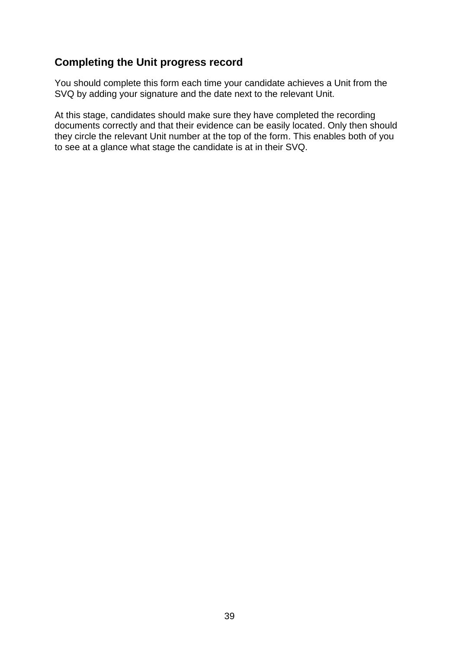## <span id="page-39-0"></span>**Completing the Unit progress record**

You should complete this form each time your candidate achieves a Unit from the SVQ by adding your signature and the date next to the relevant Unit.

At this stage, candidates should make sure they have completed the recording documents correctly and that their evidence can be easily located. Only then should they circle the relevant Unit number at the top of the form. This enables both of you to see at a glance what stage the candidate is at in their SVQ.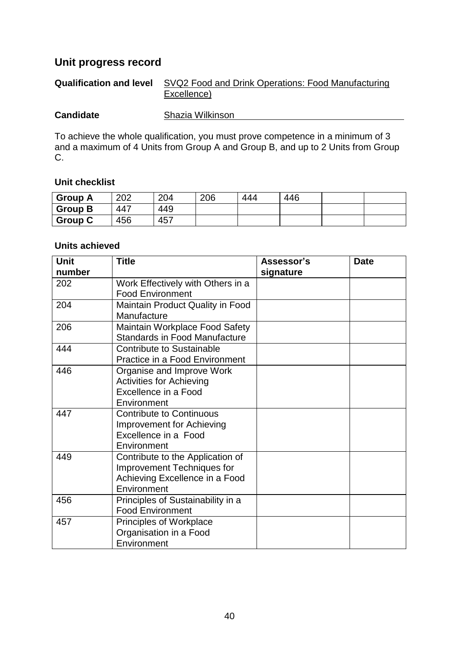### <span id="page-40-0"></span>**Unit progress record**

#### **Qualification and level** SVQ2 Food and Drink Operations: Food Manufacturing Excellence)

**Candidate** Shazia Wilkinson

To achieve the whole qualification, you must prove competence in a minimum of 3 and a maximum of 4 Units from Group A and Group B, and up to 2 Units from Group C.

#### **Unit checklist**

| <b>Group A</b> | ∩∩י<br>ZUZ | 204 | 206 | 444 | 446 |  |
|----------------|------------|-----|-----|-----|-----|--|
| <b>Group B</b> | 447        | 449 |     |     |     |  |
| <b>Group C</b> | 456        | 457 |     |     |     |  |

#### **Units achieved**

| <b>Unit</b> | <b>Title</b>                         | Assessor's | <b>Date</b> |
|-------------|--------------------------------------|------------|-------------|
| number      |                                      | signature  |             |
| 202         | Work Effectively with Others in a    |            |             |
|             | <b>Food Environment</b>              |            |             |
| 204         | Maintain Product Quality in Food     |            |             |
|             | Manufacture                          |            |             |
| 206         | Maintain Workplace Food Safety       |            |             |
|             | <b>Standards in Food Manufacture</b> |            |             |
| 444         | Contribute to Sustainable            |            |             |
|             | Practice in a Food Environment       |            |             |
| 446         | Organise and Improve Work            |            |             |
|             | <b>Activities for Achieving</b>      |            |             |
|             | Excellence in a Food                 |            |             |
|             | Environment                          |            |             |
| 447         | <b>Contribute to Continuous</b>      |            |             |
|             | <b>Improvement for Achieving</b>     |            |             |
|             | Excellence in a Food                 |            |             |
|             | Environment                          |            |             |
| 449         | Contribute to the Application of     |            |             |
|             | Improvement Techniques for           |            |             |
|             | Achieving Excellence in a Food       |            |             |
|             | Environment                          |            |             |
| 456         | Principles of Sustainability in a    |            |             |
|             | <b>Food Environment</b>              |            |             |
| 457         | Principles of Workplace              |            |             |
|             | Organisation in a Food               |            |             |
|             | Environment                          |            |             |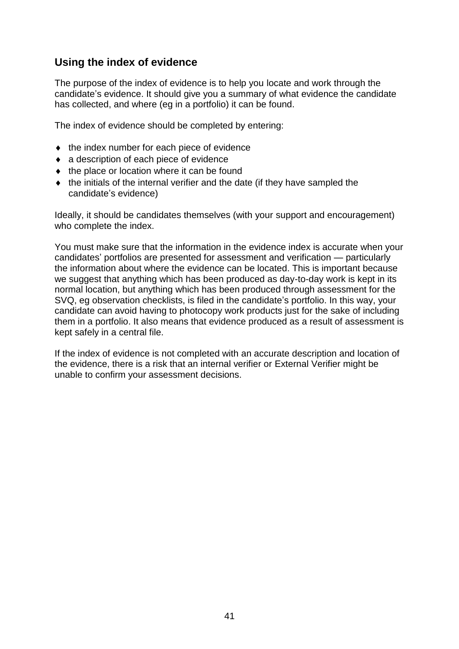## <span id="page-41-0"></span>**Using the index of evidence**

The purpose of the index of evidence is to help you locate and work through the candidate's evidence. It should give you a summary of what evidence the candidate has collected, and where (eg in a portfolio) it can be found.

The index of evidence should be completed by entering:

- $\bullet$  the index number for each piece of evidence
- ◆ a description of each piece of evidence
- $\bullet$  the place or location where it can be found
- the initials of the internal verifier and the date (if they have sampled the candidate's evidence)

Ideally, it should be candidates themselves (with your support and encouragement) who complete the index.

You must make sure that the information in the evidence index is accurate when your candidates' portfolios are presented for assessment and verification — particularly the information about where the evidence can be located. This is important because we suggest that anything which has been produced as day-to-day work is kept in its normal location, but anything which has been produced through assessment for the SVQ, eg observation checklists, is filed in the candidate's portfolio. In this way, your candidate can avoid having to photocopy work products just for the sake of including them in a portfolio. It also means that evidence produced as a result of assessment is kept safely in a central file.

If the index of evidence is not completed with an accurate description and location of the evidence, there is a risk that an internal verifier or External Verifier might be unable to confirm your assessment decisions.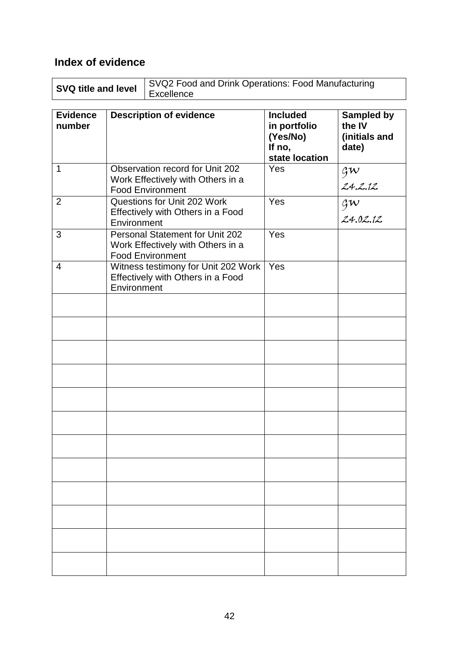## <span id="page-42-0"></span>**Index of evidence**

| <b>SVQ title and level</b> | SVQ2 Food and Drink Operations: Food Manufacturing |
|----------------------------|----------------------------------------------------|
|                            | Excellence                                         |

| <b>Evidence</b><br>number | <b>Description of evidence</b>                                                                  | <b>Included</b><br>in portfolio<br>(Yes/No)<br>If no,<br>state location | <b>Sampled by</b><br>the IV<br>(initials and<br>date) |
|---------------------------|-------------------------------------------------------------------------------------------------|-------------------------------------------------------------------------|-------------------------------------------------------|
| $\mathbf 1$               | Observation record for Unit 202<br>Work Effectively with Others in a<br><b>Food Environment</b> | Yes                                                                     | $\mathcal{G}w$<br>24.2.12                             |
| $\overline{2}$            | Questions for Unit 202 Work<br>Effectively with Others in a Food<br>Environment                 | Yes                                                                     | GW<br>24.02.12                                        |
| 3                         | Personal Statement for Unit 202<br>Work Effectively with Others in a<br><b>Food Environment</b> | Yes                                                                     |                                                       |
| $\overline{4}$            | Witness testimony for Unit 202 Work<br>Effectively with Others in a Food<br>Environment         | Yes                                                                     |                                                       |
|                           |                                                                                                 |                                                                         |                                                       |
|                           |                                                                                                 |                                                                         |                                                       |
|                           |                                                                                                 |                                                                         |                                                       |
|                           |                                                                                                 |                                                                         |                                                       |
|                           |                                                                                                 |                                                                         |                                                       |
|                           |                                                                                                 |                                                                         |                                                       |
|                           |                                                                                                 |                                                                         |                                                       |
|                           |                                                                                                 |                                                                         |                                                       |
|                           |                                                                                                 |                                                                         |                                                       |
|                           |                                                                                                 |                                                                         |                                                       |
|                           |                                                                                                 |                                                                         |                                                       |
|                           |                                                                                                 |                                                                         |                                                       |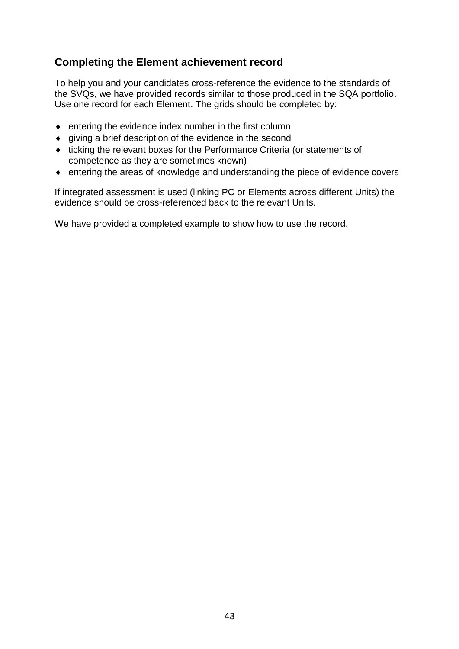## <span id="page-43-0"></span>**Completing the Element achievement record**

To help you and your candidates cross-reference the evidence to the standards of the SVQs, we have provided records similar to those produced in the SQA portfolio. Use one record for each Element. The grids should be completed by:

- $\bullet$  entering the evidence index number in the first column
- giving a brief description of the evidence in the second
- ticking the relevant boxes for the Performance Criteria (or statements of competence as they are sometimes known)
- entering the areas of knowledge and understanding the piece of evidence covers

If integrated assessment is used (linking PC or Elements across different Units) the evidence should be cross-referenced back to the relevant Units.

We have provided a completed example to show how to use the record.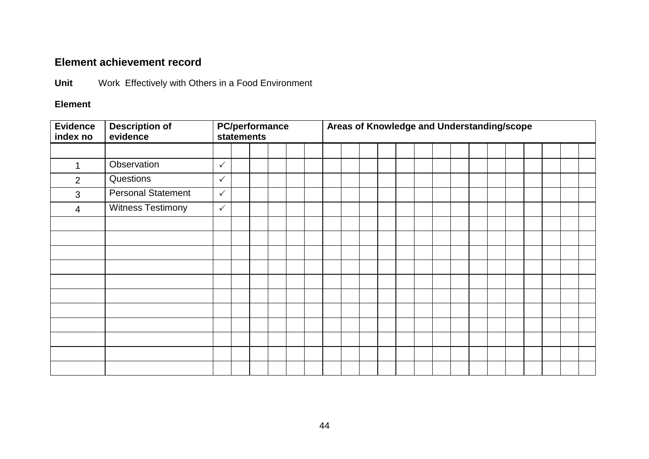## **Element achievement record**

**Unit** Work Effectively with Others in a Food Environment

#### **Element**

<span id="page-44-0"></span>

| <b>Evidence</b><br>index no | <b>Description of</b><br>evidence | <b>PC/performance</b><br><b>statements</b> |  |  |  | Areas of Knowledge and Understanding/scope |  |  |  |  |  |  |  |  |  |  |  |
|-----------------------------|-----------------------------------|--------------------------------------------|--|--|--|--------------------------------------------|--|--|--|--|--|--|--|--|--|--|--|
|                             |                                   |                                            |  |  |  |                                            |  |  |  |  |  |  |  |  |  |  |  |
|                             | Observation                       | $\checkmark$                               |  |  |  |                                            |  |  |  |  |  |  |  |  |  |  |  |
| $\overline{2}$              | Questions                         | $\checkmark$                               |  |  |  |                                            |  |  |  |  |  |  |  |  |  |  |  |
| 3                           | <b>Personal Statement</b>         | $\checkmark$                               |  |  |  |                                            |  |  |  |  |  |  |  |  |  |  |  |
| $\overline{4}$              | <b>Witness Testimony</b>          | $\checkmark$                               |  |  |  |                                            |  |  |  |  |  |  |  |  |  |  |  |
|                             |                                   |                                            |  |  |  |                                            |  |  |  |  |  |  |  |  |  |  |  |
|                             |                                   |                                            |  |  |  |                                            |  |  |  |  |  |  |  |  |  |  |  |
|                             |                                   |                                            |  |  |  |                                            |  |  |  |  |  |  |  |  |  |  |  |
|                             |                                   |                                            |  |  |  |                                            |  |  |  |  |  |  |  |  |  |  |  |
|                             |                                   |                                            |  |  |  |                                            |  |  |  |  |  |  |  |  |  |  |  |
|                             |                                   |                                            |  |  |  |                                            |  |  |  |  |  |  |  |  |  |  |  |
|                             |                                   |                                            |  |  |  |                                            |  |  |  |  |  |  |  |  |  |  |  |
|                             |                                   |                                            |  |  |  |                                            |  |  |  |  |  |  |  |  |  |  |  |
|                             |                                   |                                            |  |  |  |                                            |  |  |  |  |  |  |  |  |  |  |  |
|                             |                                   |                                            |  |  |  |                                            |  |  |  |  |  |  |  |  |  |  |  |
|                             |                                   |                                            |  |  |  |                                            |  |  |  |  |  |  |  |  |  |  |  |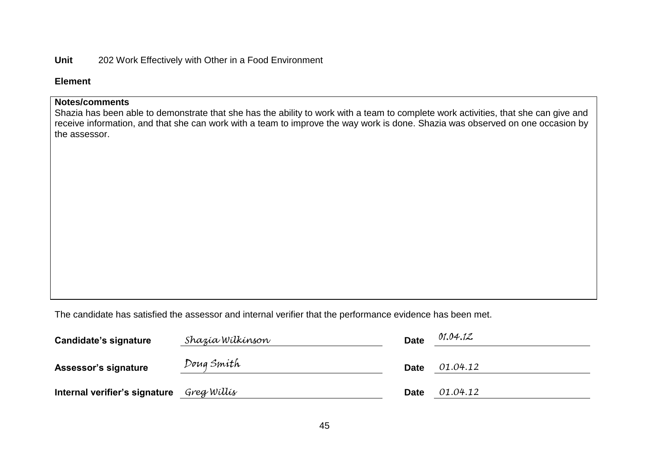#### **Unit** 202 Work Effectively with Other in a Food Environment

#### **Element**

#### **Notes/comments**

Shazia has been able to demonstrate that she has the ability to work with a team to complete work activities, that she can give and receive information, and that she can work with a team to improve the way work is done. Shazia was observed on one occasion by the assessor.

The candidate has satisfied the assessor and internal verifier that the performance evidence has been met.

| <b>Candidate's signature</b>  | Shazía Wílkínson | <b>Date</b> | 01.04.12 |
|-------------------------------|------------------|-------------|----------|
| <b>Assessor's signature</b>   | Doug Smith       | <b>Date</b> | 01.04.12 |
| Internal verifier's signature | Greg Willís      | <b>Date</b> | 01.04.12 |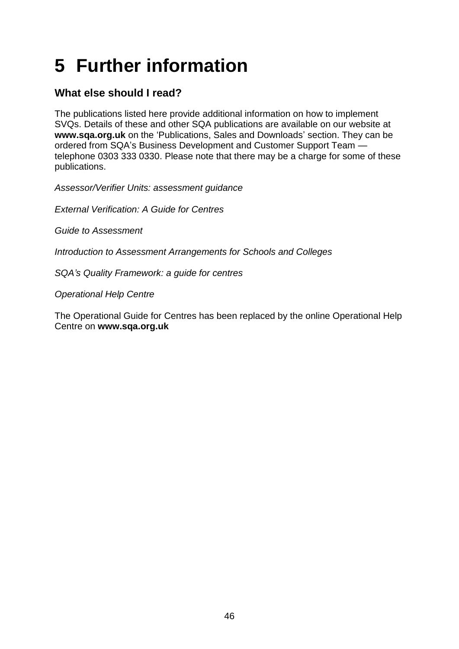# <span id="page-46-0"></span>**5 Further information**

## <span id="page-46-1"></span>**What else should I read?**

The publications listed here provide additional information on how to implement SVQs. Details of these and other SQA publications are available on our website at **www.sqa.org.uk** on the 'Publications, Sales and Downloads' section. They can be ordered from SQA's Business Development and Customer Support Team telephone 0303 333 0330. Please note that there may be a charge for some of these publications.

*Assessor/Verifier Units: assessment guidance*

*External Verification: A Guide for Centres*

*Guide to Assessment* 

*Introduction to Assessment Arrangements for Schools and Colleges*

*SQA's Quality Framework: a guide for centres*

*Operational Help Centre*

The Operational Guide for Centres has been replaced by the online Operational Help Centre on **www.sqa.org.uk**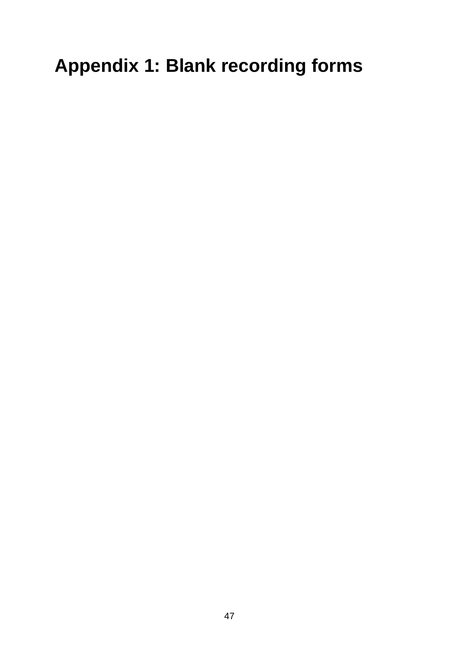# <span id="page-47-0"></span>**Appendix 1: Blank recording forms**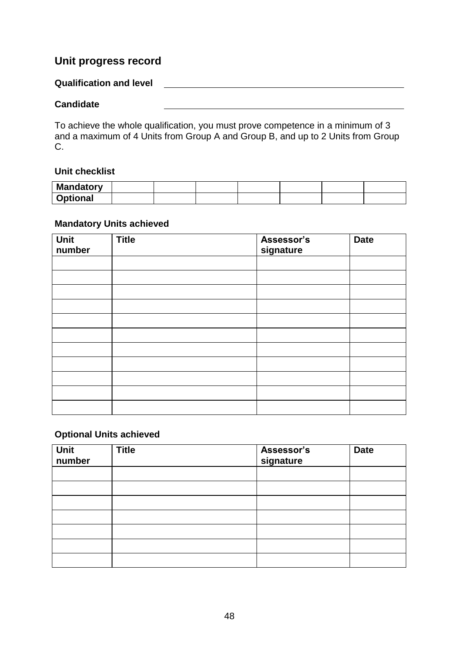## **Unit progress record**

#### **Qualification and level**

#### **Candidate**

To achieve the whole qualification, you must prove competence in a minimum of 3 and a maximum of 4 Units from Group A and Group B, and up to 2 Units from Group C.

<u> 1989 - Johann Barn, mars eta bat erroman erroman erroman erroman erroman erroman erroman erroman erroman err</u>

#### **Unit checklist**

| <b>Mandatory</b> |  |  |  |  |
|------------------|--|--|--|--|
| <b>Optional</b>  |  |  |  |  |

#### **Mandatory Units achieved**

| Unit<br>number | <b>Title</b> | Assessor's<br>signature | <b>Date</b> |
|----------------|--------------|-------------------------|-------------|
|                |              |                         |             |
|                |              |                         |             |
|                |              |                         |             |
|                |              |                         |             |
|                |              |                         |             |
|                |              |                         |             |
|                |              |                         |             |
|                |              |                         |             |
|                |              |                         |             |
|                |              |                         |             |
|                |              |                         |             |

#### **Optional Units achieved**

| Unit<br>number | <b>Title</b> | Assessor's<br>signature | <b>Date</b> |
|----------------|--------------|-------------------------|-------------|
|                |              |                         |             |
|                |              |                         |             |
|                |              |                         |             |
|                |              |                         |             |
|                |              |                         |             |
|                |              |                         |             |
|                |              |                         |             |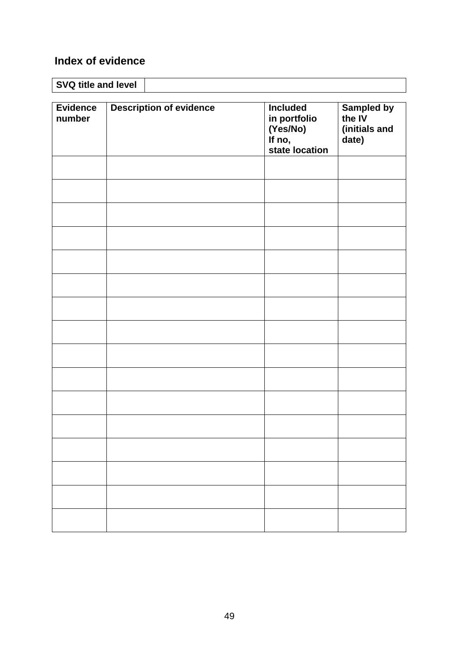## **Index of evidence**

| SVQ title and level       |                                |                                                                         |                                                       |
|---------------------------|--------------------------------|-------------------------------------------------------------------------|-------------------------------------------------------|
| <b>Evidence</b><br>number | <b>Description of evidence</b> | <b>Included</b><br>in portfolio<br>(Yes/No)<br>If no,<br>state location | <b>Sampled by</b><br>the IV<br>(initials and<br>date) |
|                           |                                |                                                                         |                                                       |
|                           |                                |                                                                         |                                                       |
|                           |                                |                                                                         |                                                       |
|                           |                                |                                                                         |                                                       |
|                           |                                |                                                                         |                                                       |
|                           |                                |                                                                         |                                                       |
|                           |                                |                                                                         |                                                       |
|                           |                                |                                                                         |                                                       |
|                           |                                |                                                                         |                                                       |
|                           |                                |                                                                         |                                                       |
|                           |                                |                                                                         |                                                       |
|                           |                                |                                                                         |                                                       |
|                           |                                |                                                                         |                                                       |
|                           |                                |                                                                         |                                                       |
|                           |                                |                                                                         |                                                       |
|                           |                                |                                                                         |                                                       |
|                           |                                |                                                                         |                                                       |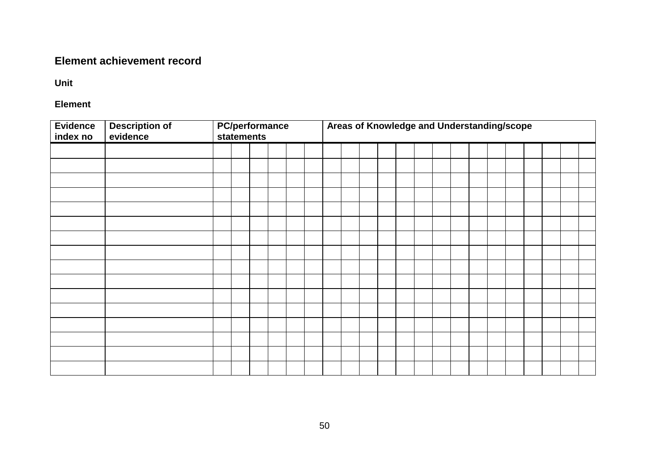## **Element achievement record**

**Unit**

**Element**

| <b>Evidence</b><br>index no | <b>Description of</b><br>evidence | Areas of Knowledge and Understanding/scope |  |  |  |  |  |  |  | <b>PC/performance</b><br>statements |  |  |  |  |  |  |  |  |  |  |  |  |  |
|-----------------------------|-----------------------------------|--------------------------------------------|--|--|--|--|--|--|--|-------------------------------------|--|--|--|--|--|--|--|--|--|--|--|--|--|
|                             |                                   |                                            |  |  |  |  |  |  |  |                                     |  |  |  |  |  |  |  |  |  |  |  |  |  |
|                             |                                   |                                            |  |  |  |  |  |  |  |                                     |  |  |  |  |  |  |  |  |  |  |  |  |  |
|                             |                                   |                                            |  |  |  |  |  |  |  |                                     |  |  |  |  |  |  |  |  |  |  |  |  |  |
|                             |                                   |                                            |  |  |  |  |  |  |  |                                     |  |  |  |  |  |  |  |  |  |  |  |  |  |
|                             |                                   |                                            |  |  |  |  |  |  |  |                                     |  |  |  |  |  |  |  |  |  |  |  |  |  |
|                             |                                   |                                            |  |  |  |  |  |  |  |                                     |  |  |  |  |  |  |  |  |  |  |  |  |  |
|                             |                                   |                                            |  |  |  |  |  |  |  |                                     |  |  |  |  |  |  |  |  |  |  |  |  |  |
|                             |                                   |                                            |  |  |  |  |  |  |  |                                     |  |  |  |  |  |  |  |  |  |  |  |  |  |
|                             |                                   |                                            |  |  |  |  |  |  |  |                                     |  |  |  |  |  |  |  |  |  |  |  |  |  |
|                             |                                   |                                            |  |  |  |  |  |  |  |                                     |  |  |  |  |  |  |  |  |  |  |  |  |  |
|                             |                                   |                                            |  |  |  |  |  |  |  |                                     |  |  |  |  |  |  |  |  |  |  |  |  |  |
|                             |                                   |                                            |  |  |  |  |  |  |  |                                     |  |  |  |  |  |  |  |  |  |  |  |  |  |
|                             |                                   |                                            |  |  |  |  |  |  |  |                                     |  |  |  |  |  |  |  |  |  |  |  |  |  |
|                             |                                   |                                            |  |  |  |  |  |  |  |                                     |  |  |  |  |  |  |  |  |  |  |  |  |  |
|                             |                                   |                                            |  |  |  |  |  |  |  |                                     |  |  |  |  |  |  |  |  |  |  |  |  |  |
|                             |                                   |                                            |  |  |  |  |  |  |  |                                     |  |  |  |  |  |  |  |  |  |  |  |  |  |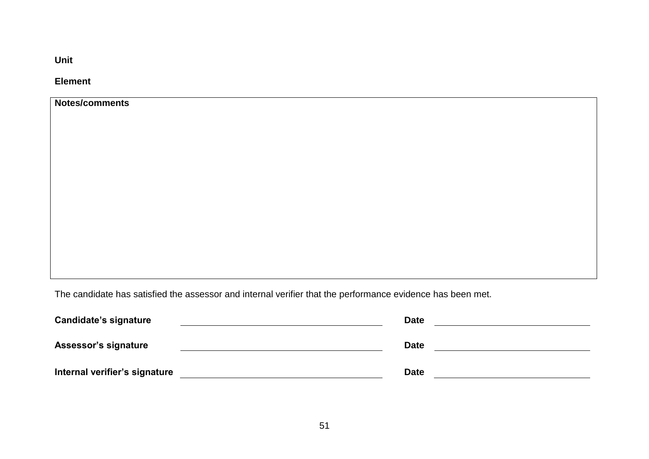**Unit**

**Element**

**Notes/comments**

The candidate has satisfied the assessor and internal verifier that the performance evidence has been met.

| Candidate's signature         | <b>Date</b> |  |
|-------------------------------|-------------|--|
| <b>Assessor's signature</b>   | <b>Date</b> |  |
| Internal verifier's signature | <b>Date</b> |  |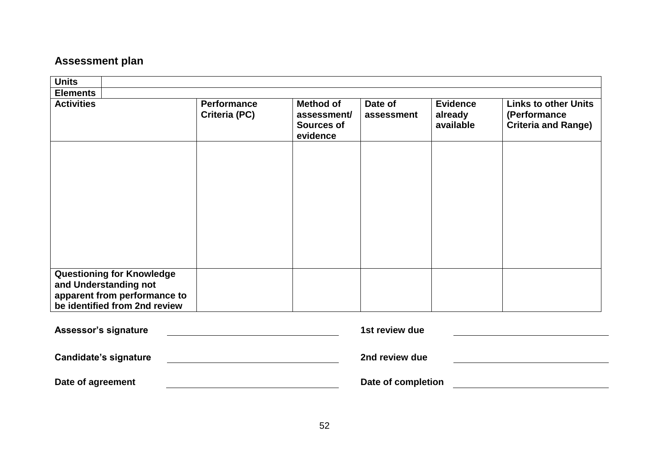## **Assessment plan**

| <b>Units</b>                                                                              |                              |                                                                  |                       |                                         |                                                                           |
|-------------------------------------------------------------------------------------------|------------------------------|------------------------------------------------------------------|-----------------------|-----------------------------------------|---------------------------------------------------------------------------|
| <b>Elements</b>                                                                           |                              |                                                                  |                       |                                         |                                                                           |
| <b>Activities</b>                                                                         | Performance<br>Criteria (PC) | <b>Method of</b><br>assessment/<br><b>Sources of</b><br>evidence | Date of<br>assessment | <b>Evidence</b><br>already<br>available | <b>Links to other Units</b><br>(Performance<br><b>Criteria and Range)</b> |
|                                                                                           |                              |                                                                  |                       |                                         |                                                                           |
|                                                                                           |                              |                                                                  |                       |                                         |                                                                           |
|                                                                                           |                              |                                                                  |                       |                                         |                                                                           |
| <b>Questioning for Knowledge</b><br>and Understanding not<br>apparent from performance to |                              |                                                                  |                       |                                         |                                                                           |
| be identified from 2nd review                                                             |                              |                                                                  |                       |                                         |                                                                           |
| <b>Assessor's signature</b>                                                               |                              |                                                                  | 1st review due        |                                         |                                                                           |
| <b>Candidate's signature</b>                                                              |                              |                                                                  | 2nd review due        |                                         |                                                                           |
| Date of agreement                                                                         |                              |                                                                  | Date of completion    |                                         |                                                                           |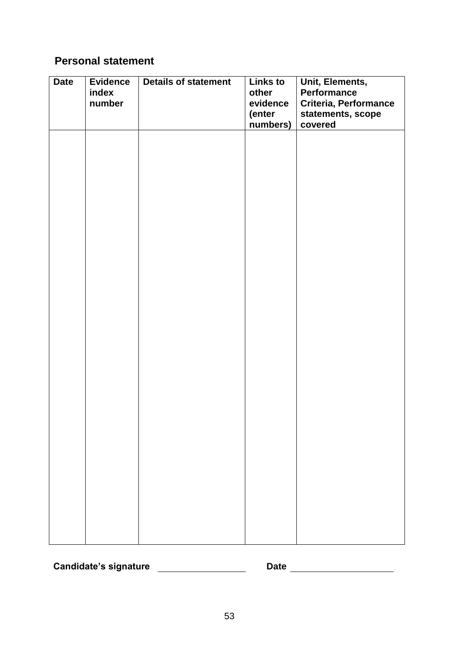## **Personal statement**

| <b>Date</b> | <b>Evidence</b><br>index<br>number | <b>Details of statement</b> | <b>Links to</b><br>other<br>evidence<br>(enter<br>numbers) | Unit, Elements,<br>Performance<br>Criteria, Performance<br>statements, scope<br>covered |
|-------------|------------------------------------|-----------------------------|------------------------------------------------------------|-----------------------------------------------------------------------------------------|
|             |                                    |                             |                                                            |                                                                                         |
|             |                                    |                             |                                                            |                                                                                         |
|             |                                    |                             |                                                            |                                                                                         |
|             |                                    |                             |                                                            |                                                                                         |
|             |                                    |                             |                                                            |                                                                                         |
|             |                                    |                             |                                                            |                                                                                         |
|             |                                    |                             |                                                            |                                                                                         |
|             |                                    |                             |                                                            |                                                                                         |

| Candidate's signature<br><b>Date</b> |
|--------------------------------------|
|--------------------------------------|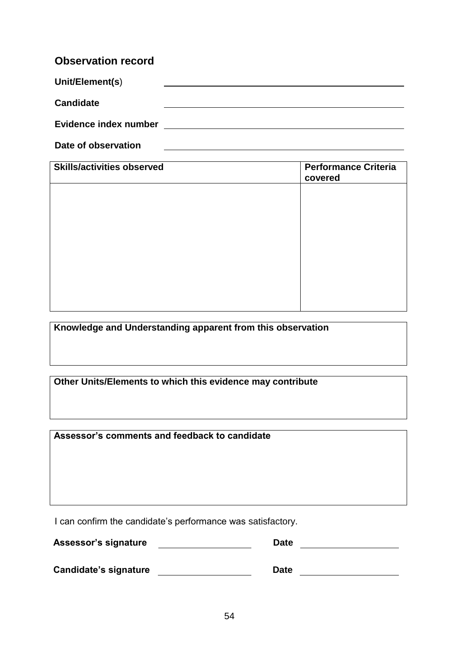## **Observation record**

**Unit/Element(s**)

**Candidate**

**Evidence index number**

**Date of observation**

| <b>Skills/activities observed</b> | <b>Performance Criteria</b><br>covered |
|-----------------------------------|----------------------------------------|
|                                   |                                        |
|                                   |                                        |
|                                   |                                        |
|                                   |                                        |
|                                   |                                        |
|                                   |                                        |

**Knowledge and Understanding apparent from this observation**

**Other Units/Elements to which this evidence may contribute**

**Assessor's comments and feedback to candidate**

I can confirm the candidate's performance was satisfactory.

| Assessor's signature  | <b>Date</b> |  |
|-----------------------|-------------|--|
|                       |             |  |
| Candidate's signature | <b>Date</b> |  |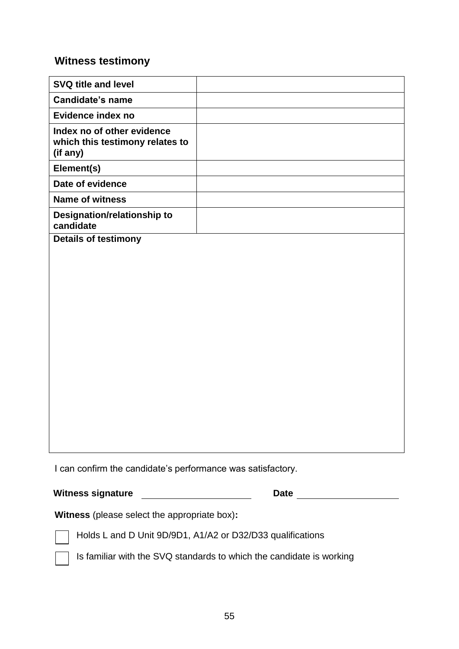## **Witness testimony**

| <b>SVQ title and level</b>                                                |  |
|---------------------------------------------------------------------------|--|
| <b>Candidate's name</b>                                                   |  |
| Evidence index no                                                         |  |
| Index no of other evidence<br>which this testimony relates to<br>(if any) |  |
| Element(s)                                                                |  |
| Date of evidence                                                          |  |
| <b>Name of witness</b>                                                    |  |
| Designation/relationship to<br>candidate                                  |  |
| <b>Details of testimony</b>                                               |  |
|                                                                           |  |
|                                                                           |  |
|                                                                           |  |
|                                                                           |  |
|                                                                           |  |
|                                                                           |  |
|                                                                           |  |
|                                                                           |  |
|                                                                           |  |
|                                                                           |  |
|                                                                           |  |
|                                                                           |  |
|                                                                           |  |

I can confirm the candidate's performance was satisfactory.

**Witness signature Date Date** 

**Witness** (please select the appropriate box)**:**

Holds L and D Unit 9D/9D1, A1/A2 or D32/D33 qualifications

Is familiar with the SVQ standards to which the candidate is working